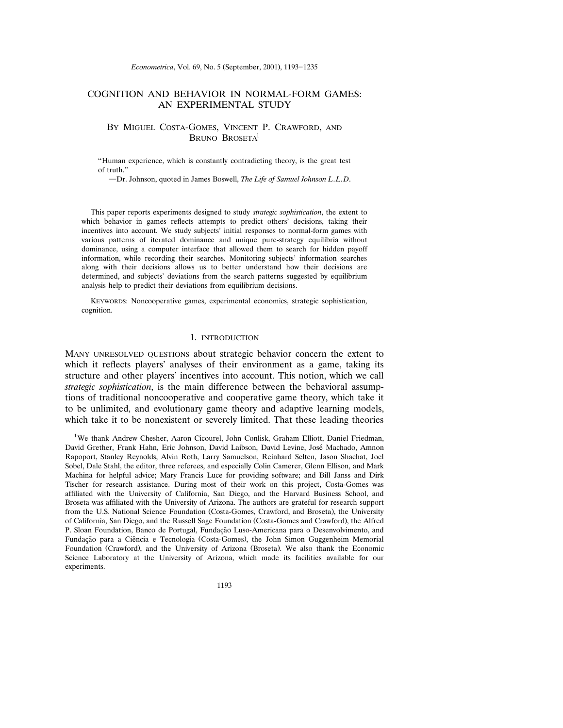# COGNITION AND BEHAVIOR IN NORMAL-FORM GAMES: AN EXPERIMENTAL STUDY

### BY MIGUEL COSTA-GOMES, VINCENT P. CRAWFORD, AND BRUNO BROSETA<sup>1</sup>

''Human experience, which is constantly contradicting theory, is the great test of truth.''

-Dr. Johnson, quoted in James Boswell, *The Life of Samuel Johnson L*.*L*.*D*.

This paper reports experiments designed to study *strategic sophistication*, the extent to which behavior in games reflects attempts to predict others' decisions, taking their incentives into account. We study subjects' initial responses to normal-form games with various patterns of iterated dominance and unique pure-strategy equilibria without dominance, using a computer interface that allowed them to search for hidden payoff information, while recording their searches. Monitoring subjects' information searches along with their decisions allows us to better understand how their decisions are determined, and subjects' deviations from the search patterns suggested by equilibrium analysis help to predict their deviations from equilibrium decisions.

KEYWORDS: Noncooperative games, experimental economics, strategic sophistication, cognition.

#### 1. INTRODUCTION

MANY UNRESOLVED QUESTIONS about strategic behavior concern the extent to which it reflects players' analyses of their environment as a game, taking its structure and other players' incentives into account. This notion, which we call *strategic sophistication*, is the main difference between the behavioral assumptions of traditional noncooperative and cooperative game theory, which take it to be unlimited, and evolutionary game theory and adaptive learning models, which take it to be nonexistent or severely limited. That these leading theories

<sup>1</sup>We thank Andrew Chesher, Aaron Cicourel, John Conlisk, Graham Elliott, Daniel Friedman, David Grether, Frank Hahn, Eric Johnson, David Laibson, David Levine, Jose Machado, Amnon ´ Rapoport, Stanley Reynolds, Alvin Roth, Larry Samuelson, Reinhard Selten, Jason Shachat, Joel Sobel, Dale Stahl, the editor, three referees, and especially Colin Camerer, Glenn Ellison, and Mark Machina for helpful advice; Mary Francis Luce for providing software; and Bill Janss and Dirk Tischer for research assistance. During most of their work on this project, Costa-Gomes was affiliated with the University of California, San Diego, and the Harvard Business School, and Broseta was affiliated with the University of Arizona. The authors are grateful for research support from the U.S. National Science Foundation (Costa-Gomes, Crawford, and Broseta), the University of California, San Diego, and the Russell Sage Foundation (Costa-Gomes and Crawford), the Alfred P. Sloan Foundation, Banco de Portugal, Fundação Luso-Americana para o Desenvolvimento, and Fundação para a Ciência e Tecnologia (Costa-Gomes), the John Simon Guggenheim Memorial Foundation (Crawford), and the University of Arizona (Broseta). We also thank the Economic Science Laboratory at the University of Arizona, which made its facilities available for our experiments.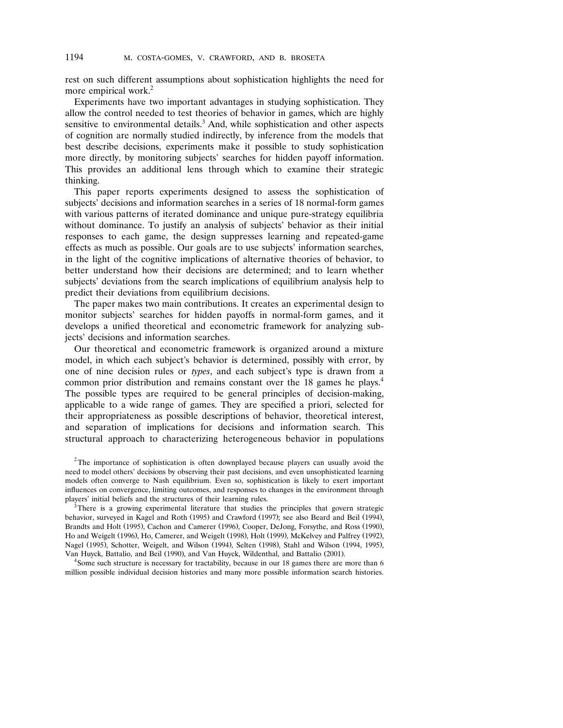rest on such different assumptions about sophistication highlights the need for more empirical work.<sup>2</sup>

Experiments have two important advantages in studying sophistication. They allow the control needed to test theories of behavior in games, which are highly sensitive to environmental details.<sup>3</sup> And, while sophistication and other aspects of cognition are normally studied indirectly, by inference from the models that best describe decisions, experiments make it possible to study sophistication more directly, by monitoring subjects' searches for hidden payoff information. This provides an additional lens through which to examine their strategic thinking.

This paper reports experiments designed to assess the sophistication of subjects' decisions and information searches in a series of 18 normal-form games with various patterns of iterated dominance and unique pure-strategy equilibria without dominance. To justify an analysis of subjects' behavior as their initial responses to each game, the design suppresses learning and repeated-game effects as much as possible. Our goals are to use subjects' information searches, in the light of the cognitive implications of alternative theories of behavior, to better understand how their decisions are determined; and to learn whether subjects' deviations from the search implications of equilibrium analysis help to predict their deviations from equilibrium decisions.

The paper makes two main contributions. It creates an experimental design to monitor subjects' searches for hidden payoffs in normal-form games, and it develops a unified theoretical and econometric framework for analyzing subjects' decisions and information searches.

Our theoretical and econometric framework is organized around a mixture model, in which each subject's behavior is determined, possibly with error, by one of nine decision rules or *types*, and each subject's type is drawn from a common prior distribution and remains constant over the 18 games he plays.<sup>4</sup> The possible types are required to be general principles of decision-making, applicable to a wide range of games. They are specified a priori, selected for their appropriateness as possible descriptions of behavior, theoretical interest, and separation of implications for decisions and information search. This structural approach to characterizing heterogeneous behavior in populations

<sup>3</sup>There is a growing experimental literature that studies the principles that govern strategic behavior, surveyed in Kagel and Roth (1995) and Crawford (1997); see also Beard and Beil (1994), Brandts and Holt (1995), Cachon and Camerer (1996), Cooper, DeJong, Forsythe, and Ross (1990), Ho and Weigelt (1996), Ho, Camerer, and Weigelt (1998), Holt (1999), McKelvey and Palfrey (1992), Nagel (1995), Schotter, Weigelt, and Wilson (1994), Selten (1998), Stahl and Wilson (1994, 1995), Van Huyck, Battalio, and Beil (1990), and Van Huyck, Wildenthal, and Battalio (2001).

<sup>4</sup>Some such structure is necessary for tractability, because in our 18 games there are more than 6 million possible individual decision histories and many more possible information search histories.

 $2^2$ The importance of sophistication is often downplayed because players can usually avoid the need to model others' decisions by observing their past decisions, and even unsophisticated learning models often converge to Nash equilibrium. Even so, sophistication is likely to exert important influences on convergence, limiting outcomes, and responses to changes in the environment through players' initial beliefs and the structures of their learning rules.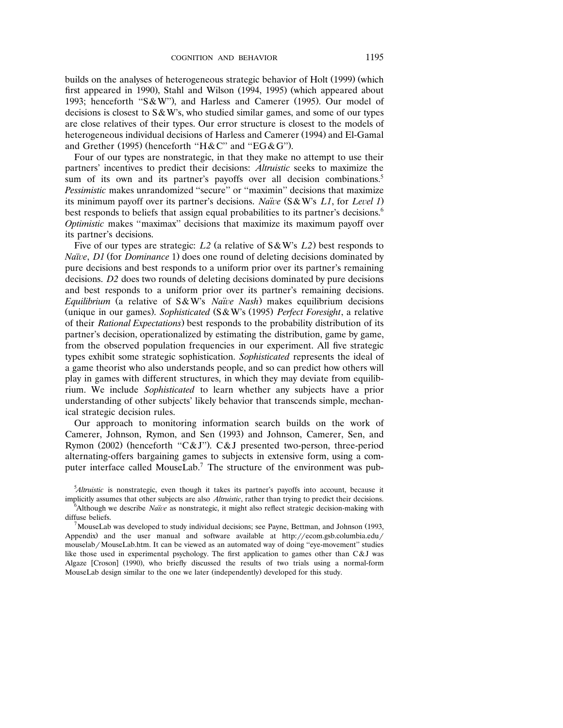builds on the analyses of heterogeneous strategic behavior of Holt (1999) (which first appeared in 1990), Stahl and Wilson (1994, 1995) (which appeared about 1993; henceforth "S & W"), and Harless and Camerer (1995). Our model of decisions is closest to S&W's, who studied similar games, and some of our types are close relatives of their types. Our error structure is closest to the models of heterogeneous individual decisions of Harless and Camerer (1994) and El-Gamal and Grether (1995) (henceforth "H&C" and "EG&G").

Four of our types are nonstrategic, in that they make no attempt to use their partners' incentives to predict their decisions: *Altruistic* seeks to maximize the sum of its own and its partner's payoffs over all decision combinations.<sup>5</sup> *Pessimistic* makes unrandomized ''secure'' or ''maximin'' decisions that maximize its minimum payoff over its partner's decisions. *Naïve* (S&W's *L1*, for *Level 1*) best responds to beliefs that assign equal probabilities to its partner's decisions.<sup>6</sup> *Optimistic* makes ''maximax'' decisions that maximize its maximum payoff over its partner's decisions.

Five of our types are strategic:  $L2$  (a relative of S&W's  $L2$ ) best responds to *Naïve, D1* (for *Dominance* 1) does one round of deleting decisions dominated by pure decisions and best responds to a uniform prior over its partner's remaining decisions. *D2* does two rounds of deleting decisions dominated by pure decisions and best responds to a uniform prior over its partner's remaining decisions. *Equilibrium* (a relative of S&W's *Naïve Nash*) makes equilibrium decisions (unique in our games). *Sophisticated* (S&W's (1995) *Perfect Foresight*, a relative of their *Rational Expectations*. best responds to the probability distribution of its partner's decision, operationalized by estimating the distribution, game by game, from the observed population frequencies in our experiment. All five strategic types exhibit some strategic sophistication. *Sophisticated* represents the ideal of a game theorist who also understands people, and so can predict how others will play in games with different structures, in which they may deviate from equilibrium. We include *Sophisticated* to learn whether any subjects have a prior understanding of other subjects' likely behavior that transcends simple, mechanical strategic decision rules.

Our approach to monitoring information search builds on the work of Camerer, Johnson, Rymon, and Sen (1993) and Johnson, Camerer, Sen, and Rymon (2002) (henceforth "C&J"). C&J presented two-person, three-period alternating-offers bargaining games to subjects in extensive form, using a computer interface called MouseLab.7 The structure of the environment was pub-

<sup>5</sup>Altruistic is nonstrategic, even though it takes its partner's payoffs into account, because it implicitly assumes that other subjects are also *Altruistic*, rather than trying to predict their decisions. <sup>6</sup>

<sup>&</sup>lt;sup>6</sup>Although we describe *Naïve* as nonstrategic, it might also reflect strategic decision-making with diffuse beliefs.

 $^7$ MouseLab was developed to study individual decisions; see Payne, Bettman, and Johnson (1993, Appendix) and the user manual and software available at http://ecom.gsb.columbia.edu/ mouselab-MouseLab.htm. It can be viewed as an automated way of doing ''eye-movement'' studies like those used in experimental psychology. The first application to games other than C&J was Algaze [Croson] (1990), who briefly discussed the results of two trials using a normal-form MouseLab design similar to the one we later (independently) developed for this study.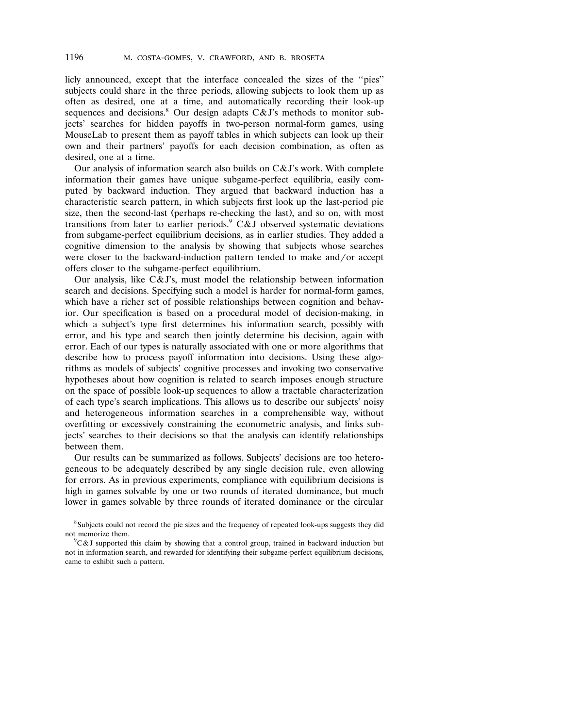licly announced, except that the interface concealed the sizes of the ''pies'' subjects could share in the three periods, allowing subjects to look them up as often as desired, one at a time, and automatically recording their look-up sequences and decisions.<sup>8</sup> Our design adapts  $C&J$ 's methods to monitor subjects' searches for hidden payoffs in two-person normal-form games, using MouseLab to present them as payoff tables in which subjects can look up their own and their partners' payoffs for each decision combination, as often as desired, one at a time.

Our analysis of information search also builds on  $C\&J$ 's work. With complete information their games have unique subgame-perfect equilibria, easily computed by backward induction. They argued that backward induction has a characteristic search pattern, in which subjects first look up the last-period pie size, then the second-last (perhaps re-checking the last), and so on, with most transitions from later to earlier periods.<sup>9</sup> C&J observed systematic deviations from subgame-perfect equilibrium decisions, as in earlier studies. They added a cognitive dimension to the analysis by showing that subjects whose searches were closer to the backward-induction pattern tended to make and/or accept offers closer to the subgame-perfect equilibrium.

Our analysis, like  $C\&J$ 's, must model the relationship between information search and decisions. Specifying such a model is harder for normal-form games, which have a richer set of possible relationships between cognition and behavior. Our specification is based on a procedural model of decision-making, in which a subject's type first determines his information search, possibly with error, and his type and search then jointly determine his decision, again with error. Each of our types is naturally associated with one or more algorithms that describe how to process payoff information into decisions. Using these algorithms as models of subjects' cognitive processes and invoking two conservative hypotheses about how cognition is related to search imposes enough structure on the space of possible look-up sequences to allow a tractable characterization of each type's search implications. This allows us to describe our subjects' noisy and heterogeneous information searches in a comprehensible way, without overfitting or excessively constraining the econometric analysis, and links subjects' searches to their decisions so that the analysis can identify relationships between them.

Our results can be summarized as follows. Subjects' decisions are too heterogeneous to be adequately described by any single decision rule, even allowing for errors. As in previous experiments, compliance with equilibrium decisions is high in games solvable by one or two rounds of iterated dominance, but much lower in games solvable by three rounds of iterated dominance or the circular

<sup>&</sup>lt;sup>8</sup>Subjects could not record the pie sizes and the frequency of repeated look-ups suggests they did not memorize them.

 ${}^{9}C\&J$  supported this claim by showing that a control group, trained in backward induction but not in information search, and rewarded for identifying their subgame-perfect equilibrium decisions, came to exhibit such a pattern.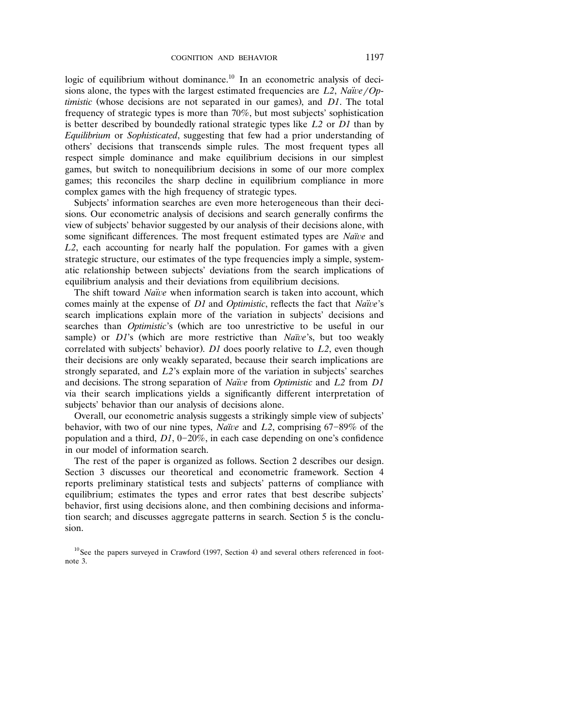logic of equilibrium without dominance.<sup>10</sup> In an econometric analysis of decisions alone, the types with the largest estimated frequencies are  $L2$ , *Naïve*/*Optimistic* (whose decisions are not separated in our games), and *D1*. The total frequency of strategic types is more than 70%, but most subjects' sophistication is better described by boundedly rational strategic types like *L2* or *D1* than by *Equilibrium* or *Sophisticated*, suggesting that few had a prior understanding of others' decisions that transcends simple rules. The most frequent types all respect simple dominance and make equilibrium decisions in our simplest games, but switch to nonequilibrium decisions in some of our more complex games; this reconciles the sharp decline in equilibrium compliance in more complex games with the high frequency of strategic types.

Subjects' information searches are even more heterogeneous than their decisions. Our econometric analysis of decisions and search generally confirms the view of subjects' behavior suggested by our analysis of their decisions alone, with some significant differences. The most frequent estimated types are *Naïve* and *L2*, each accounting for nearly half the population. For games with a given strategic structure, our estimates of the type frequencies imply a simple, systematic relationship between subjects' deviations from the search implications of equilibrium analysis and their deviations from equilibrium decisions.

The shift toward *Naïve* when information search is taken into account, which comes mainly at the expense of *D1* and *Optimistic*, reflects the fact that *Naïve*'s search implications explain more of the variation in subjects' decisions and searches than *Optimistic*'s (which are too unrestrictive to be useful in our sample) or D1's (which are more restrictive than *Naïve*'s, but too weakly correlated with subjects' behavior). *D1* does poorly relative to *L2*, even though their decisions are only weakly separated, because their search implications are strongly separated, and *L2*'s explain more of the variation in subjects' searches and decisions. The strong separation of *Naïve* from *Optimistic* and *L2* from *D1* via their search implications yields a significantly different interpretation of subjects' behavior than our analysis of decisions alone.

Overall, our econometric analysis suggests a strikingly simple view of subjects' behavior, with two of our nine types, *Naïve* and  $L2$ , comprising  $67-89\%$  of the population and a third,  $D1$ ,  $0-20\%$ , in each case depending on one's confidence in our model of information search.

The rest of the paper is organized as follows. Section 2 describes our design. Section 3 discusses our theoretical and econometric framework. Section 4 reports preliminary statistical tests and subjects' patterns of compliance with equilibrium; estimates the types and error rates that best describe subjects' behavior, first using decisions alone, and then combining decisions and information search; and discusses aggregate patterns in search. Section 5 is the conclusion.

 $10$ See the papers surveyed in Crawford (1997, Section 4) and several others referenced in footnote 3.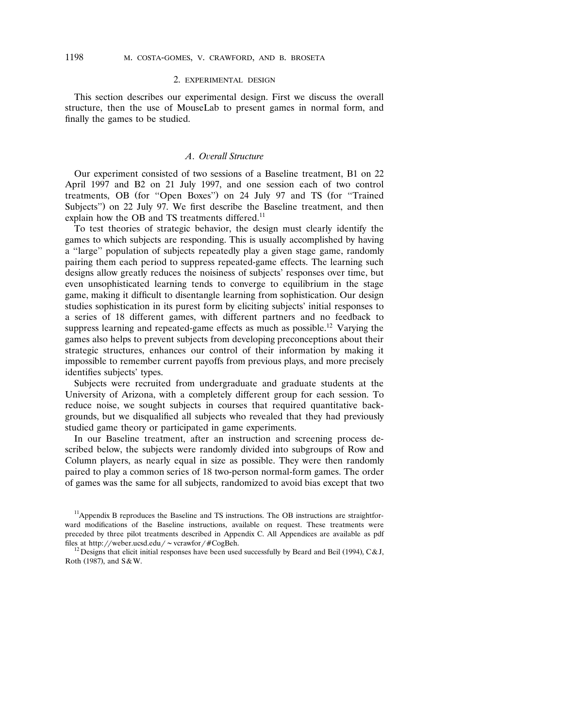### 2. EXPERIMENTAL DESIGN

This section describes our experimental design. First we discuss the overall structure, then the use of MouseLab to present games in normal form, and finally the games to be studied.

### *A*. *Oerall Structure*

Our experiment consisted of two sessions of a Baseline treatment, B1 on 22 April 1997 and B2 on 21 July 1997, and one session each of two control treatments, OB (for "Open Boxes") on 24 July 97 and TS (for "Trained Subjects") on 22 July 97. We first describe the Baseline treatment, and then explain how the OB and TS treatments differed. $11$ 

To test theories of strategic behavior, the design must clearly identify the games to which subjects are responding. This is usually accomplished by having a ''large'' population of subjects repeatedly play a given stage game, randomly pairing them each period to suppress repeated-game effects. The learning such designs allow greatly reduces the noisiness of subjects' responses over time, but even unsophisticated learning tends to converge to equilibrium in the stage game, making it difficult to disentangle learning from sophistication. Our design studies sophistication in its purest form by eliciting subjects' initial responses to a series of 18 different games, with different partners and no feedback to suppress learning and repeated-game effects as much as possible.<sup>12</sup> Varying the games also helps to prevent subjects from developing preconceptions about their strategic structures, enhances our control of their information by making it impossible to remember current payoffs from previous plays, and more precisely identifies subjects' types.

Subjects were recruited from undergraduate and graduate students at the University of Arizona, with a completely different group for each session. To reduce noise, we sought subjects in courses that required quantitative backgrounds, but we disqualified all subjects who revealed that they had previously studied game theory or participated in game experiments.

In our Baseline treatment, after an instruction and screening process described below, the subjects were randomly divided into subgroups of Row and Column players, as nearly equal in size as possible. They were then randomly paired to play a common series of 18 two-person normal-form games. The order of games was the same for all subjects, randomized to avoid bias except that two

 $11$ Appendix B reproduces the Baseline and TS instructions. The OB instructions are straightforward modifications of the Baseline instructions, available on request. These treatments were preceded by three pilot treatments described in Appendix C. All Appendices are available as pdf files at http://weber.ucsd.edu/  $\sim$  vcrawfor/

<sup>&</sup>lt;sup>12</sup> Designs that elicit initial responses have been used successfully by Beard and Beil (1994), C&J, Roth (1987), and  $S & W$ .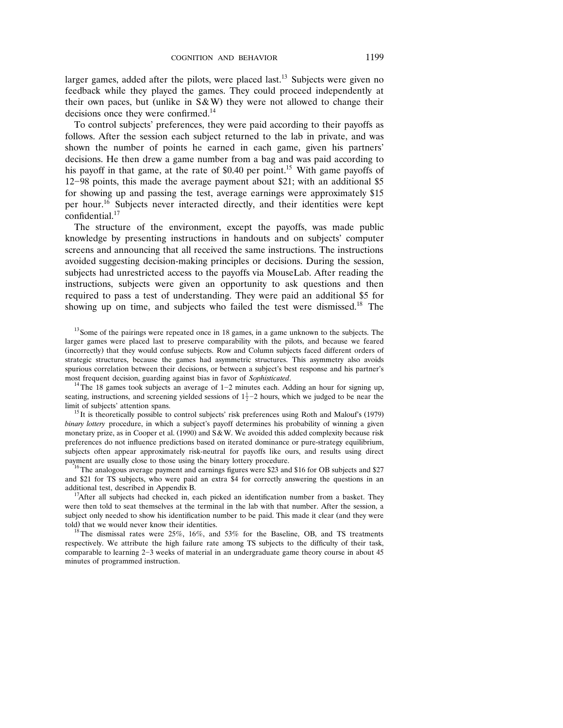larger games, added after the pilots, were placed last.13 Subjects were given no feedback while they played the games. They could proceed independently at their own paces, but (unlike in  $S\&W$ ) they were not allowed to change their decisions once they were confirmed.<sup>14</sup>

To control subjects' preferences, they were paid according to their payoffs as follows. After the session each subject returned to the lab in private, and was shown the number of points he earned in each game, given his partners' decisions. He then drew a game number from a bag and was paid according to his payoff in that game, at the rate of \$0.40 per point.<sup>15</sup> With game payoffs of 1298 points, this made the average payment about \$21; with an additional \$5 for showing up and passing the test, average earnings were approximately \$15 per hour.16 Subjects never interacted directly, and their identities were kept confidential.<sup>17</sup>

The structure of the environment, except the payoffs, was made public knowledge by presenting instructions in handouts and on subjects' computer screens and announcing that all received the same instructions. The instructions avoided suggesting decision-making principles or decisions. During the session, subjects had unrestricted access to the payoffs via MouseLab. After reading the instructions, subjects were given an opportunity to ask questions and then required to pass a test of understanding. They were paid an additional \$5 for showing up on time, and subjects who failed the test were dismissed.<sup>18</sup> The

<sup>13</sup>Some of the pairings were repeated once in 18 games, in a game unknown to the subjects. The larger games were placed last to preserve comparability with the pilots, and because we feared (incorrectly) that they would confuse subjects. Row and Column subjects faced different orders of strategic structures, because the games had asymmetric structures. This asymmetry also avoids spurious correlation between their decisions, or between a subject's best response and his partner's most frequent decision, guarding against bias in favor of *Sophisticated*.

<sup>14</sup>The 18 games took subjects an average of 1-2 minutes each. Adding an hour for signing up, seating, instructions, and screening yielded sessions of  $1\frac{1}{2}$  hours, which we judged to be near the limit of subjects' attention spans.

<sup>15</sup>It is theoretically possible to control subjects' risk preferences using Roth and Malouf's (1979) *binary lottery* procedure, in which a subject's payoff determines his probability of winning a given monetary prize, as in Cooper et al. (1990) and S&W. We avoided this added complexity because risk preferences do not influence predictions based on iterated dominance or pure-strategy equilibrium, subjects often appear approximately risk-neutral for payoffs like ours, and results using direct payment are usually close to those using the binary lottery procedure.<br><sup>16</sup>The analogous average payment and earnings figures were \$23 and \$16 for OB subjects and \$27

and \$21 for TS subjects, who were paid an extra \$4 for correctly answering the questions in an additional test, described in Appendix B.<br><sup>17</sup>After all subjects had checked in, each picked an identification number from a basket. They

were then told to seat themselves at the terminal in the lab with that number. After the session, a subject only needed to show his identification number to be paid. This made it clear (and they were told) that we would never know their identities.

<sup>18</sup>The dismissal rates were 25%, 16%, and 53% for the Baseline, OB, and TS treatments respectively. We attribute the high failure rate among TS subjects to the difficulty of their task, comparable to learning  $2-3$  weeks of material in an undergraduate game theory course in about  $45$ minutes of programmed instruction.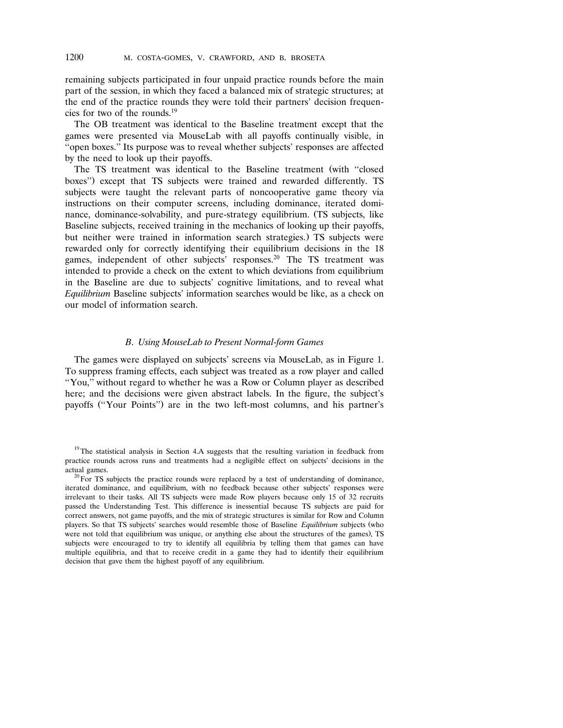remaining subjects participated in four unpaid practice rounds before the main part of the session, in which they faced a balanced mix of strategic structures; at the end of the practice rounds they were told their partners' decision frequencies for two of the rounds. $^{19}$ 

The OB treatment was identical to the Baseline treatment except that the games were presented via MouseLab with all payoffs continually visible, in "open boxes." Its purpose was to reveal whether subjects' responses are affected by the need to look up their payoffs.

The TS treatment was identical to the Baseline treatment (with "closed boxes") except that TS subjects were trained and rewarded differently. TS subjects were taught the relevant parts of noncooperative game theory via instructions on their computer screens, including dominance, iterated dominance, dominance-solvability, and pure-strategy equilibrium. (TS subjects, like Baseline subjects, received training in the mechanics of looking up their payoffs, but neither were trained in information search strategies. TS subjects were rewarded only for correctly identifying their equilibrium decisions in the 18 games, independent of other subjects' responses.<sup>20</sup> The TS treatment was intended to provide a check on the extent to which deviations from equilibrium in the Baseline are due to subjects' cognitive limitations, and to reveal what *Equilibrium* Baseline subjects' information searches would be like, as a check on our model of information search.

## *B*. *Using MouseLab to Present Normal*-*form Games*

The games were displayed on subjects' screens via MouseLab, as in Figure 1. To suppress framing effects, each subject was treated as a row player and called ''You,'' without regard to whether he was a Row or Column player as described here; and the decisions were given abstract labels. In the figure, the subject's payoffs ("Your Points") are in the two left-most columns, and his partner's

<sup>&</sup>lt;sup>19</sup>The statistical analysis in Section 4.A suggests that the resulting variation in feedback from practice rounds across runs and treatments had a negligible effect on subjects' decisions in the actual games.<br><sup>20</sup>For TS subjects the practice rounds were replaced by a test of understanding of dominance,

iterated dominance, and equilibrium, with no feedback because other subjects' responses were irrelevant to their tasks. All TS subjects were made Row players because only 15 of 32 recruits passed the Understanding Test. This difference is inessential because TS subjects are paid for correct answers, not game payoffs, and the mix of strategic structures is similar for Row and Column players. So that TS subjects' searches would resemble those of Baseline *Equilibrium* subjects (who were not told that equilibrium was unique, or anything else about the structures of the games), TS subjects were encouraged to try to identify all equilibria by telling them that games can have multiple equilibria, and that to receive credit in a game they had to identify their equilibrium decision that gave them the highest payoff of any equilibrium.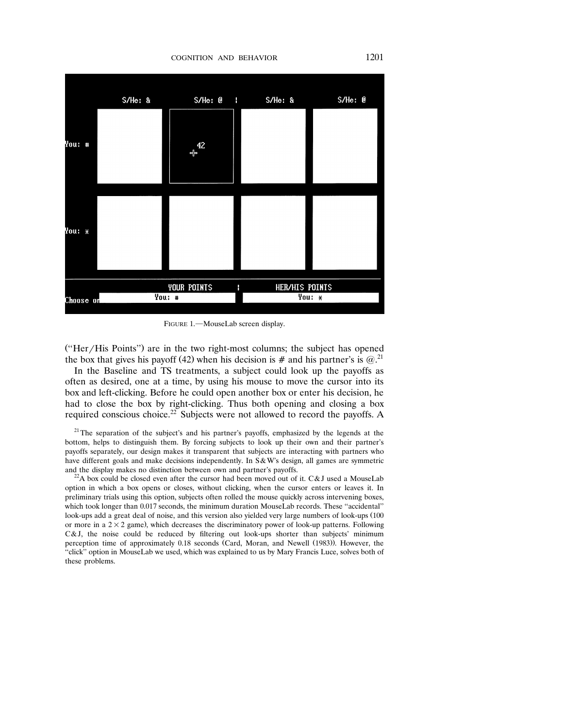

FIGURE 1.-MouseLab screen display.

("Her/His Points") are in the two right-most columns; the subject has opened the box that gives his payoff (42) when his decision is # and his partner's is  $\omega$ <sup>21</sup>

In the Baseline and TS treatments, a subject could look up the payoffs as often as desired, one at a time, by using his mouse to move the cursor into its box and left-clicking. Before he could open another box or enter his decision, he had to close the box by right-clicking. Thus both opening and closing a box required conscious choice.<sup>22</sup> Subjects were not allowed to record the payoffs. A

 $21$ The separation of the subject's and his partner's payoffs, emphasized by the legends at the bottom, helps to distinguish them. By forcing subjects to look up their own and their partner's payoffs separately, our design makes it transparent that subjects are interacting with partners who have different goals and make decisions independently. In S&W's design, all games are symmetric and the display makes no distinction between own and partner's payoffs.<br><sup>22</sup>A box could be closed even after the cursor had been moved out of it. C&J used a MouseLab

option in which a box opens or closes, without clicking, when the cursor enters or leaves it. In preliminary trials using this option, subjects often rolled the mouse quickly across intervening boxes, which took longer than 0.017 seconds, the minimum duration MouseLab records. These ''accidental'' look-ups add a great deal of noise, and this version also yielded very large numbers of look-ups (100 or more in a  $2 \times 2$  game), which decreases the discriminatory power of look-up patterns. Following C&J, the noise could be reduced by filtering out look-ups shorter than subjects' minimum perception time of approximately 0.18 seconds (Card, Moran, and Newell (1983)). However, the ''click'' option in MouseLab we used, which was explained to us by Mary Francis Luce, solves both of these problems.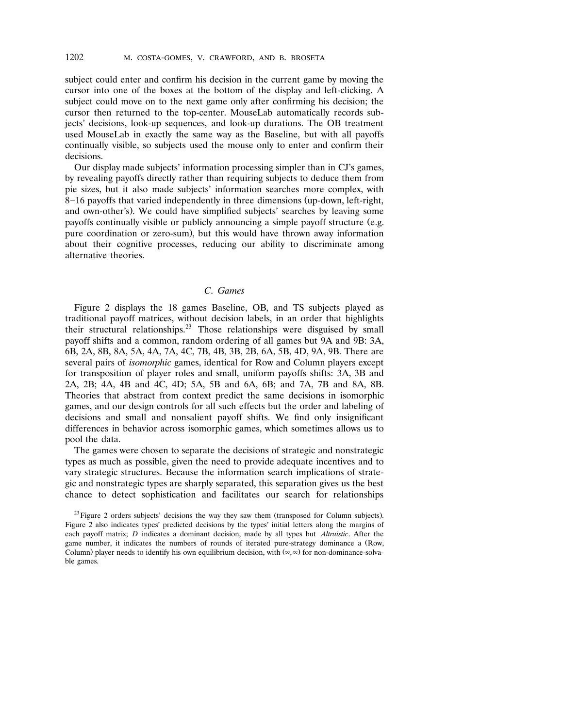subject could enter and confirm his decision in the current game by moving the cursor into one of the boxes at the bottom of the display and left-clicking. A subject could move on to the next game only after confirming his decision; the cursor then returned to the top-center. MouseLab automatically records subjects' decisions, look-up sequences, and look-up durations. The OB treatment used MouseLab in exactly the same way as the Baseline, but with all payoffs continually visible, so subjects used the mouse only to enter and confirm their decisions.

Our display made subjects' information processing simpler than in CJ's games, by revealing payoffs directly rather than requiring subjects to deduce them from pie sizes, but it also made subjects' information searches more complex, with  $8-16$  payoffs that varied independently in three dimensions (up-down, left-right, and own-other's). We could have simplified subjects' searches by leaving some payoffs continually visible or publicly announcing a simple payoff structure (e.g. pure coordination or zero-sum), but this would have thrown away information about their cognitive processes, reducing our ability to discriminate among alternative theories.

# *C*. *Games*

Figure 2 displays the 18 games Baseline, OB, and TS subjects played as traditional payoff matrices, without decision labels, in an order that highlights their structural relationships.<sup>23</sup> Those relationships were disguised by small payoff shifts and a common, random ordering of all games but 9A and 9B: 3A, 6B, 2A, 8B, 8A, 5A, 4A, 7A, 4C, 7B, 4B, 3B, 2B, 6A, 5B, 4D, 9A, 9B. There are several pairs of *isomorphic* games, identical for Row and Column players except for transposition of player roles and small, uniform payoffs shifts: 3A, 3B and 2A, 2B; 4A, 4B and 4C, 4D; 5A, 5B and 6A, 6B; and 7A, 7B and 8A, 8B. Theories that abstract from context predict the same decisions in isomorphic games, and our design controls for all such effects but the order and labeling of decisions and small and nonsalient payoff shifts. We find only insignificant differences in behavior across isomorphic games, which sometimes allows us to pool the data.

The games were chosen to separate the decisions of strategic and nonstrategic types as much as possible, given the need to provide adequate incentives and to vary strategic structures. Because the information search implications of strategic and nonstrategic types are sharply separated, this separation gives us the best chance to detect sophistication and facilitates our search for relationships

 $^{23}$  Figure 2 orders subjects' decisions the way they saw them (transposed for Column subjects). Figure 2 also indicates types' predicted decisions by the types' initial letters along the margins of each payoff matrix; *D* indicates a dominant decision, made by all types but *Altruistic*. After the game number, it indicates the numbers of rounds of iterated pure-strategy dominance a (Row, Column) player needs to identify his own equilibrium decision, with  $(\infty, \infty)$  for non-dominance-solvable games.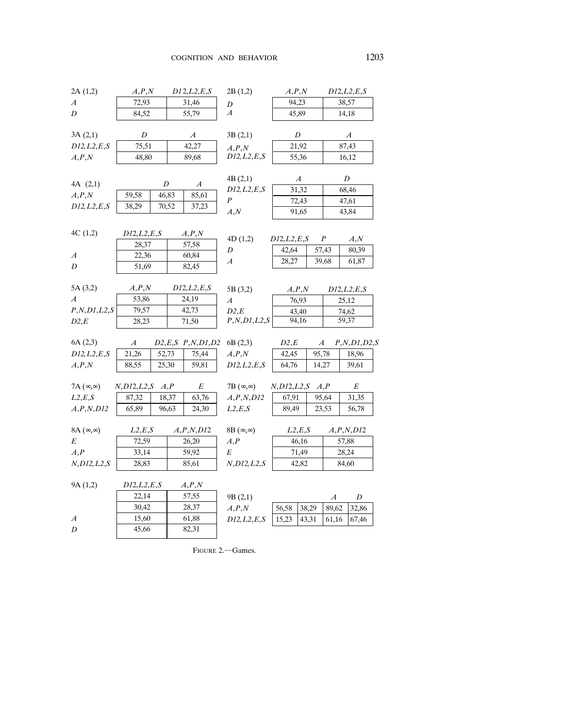| 2A(1,2)                    | A, P, N          |       | D12, L2, E, S |                           | 2B(1,2)               | A, P, N       |                  |                  | D12, L2, E, S    |
|----------------------------|------------------|-------|---------------|---------------------------|-----------------------|---------------|------------------|------------------|------------------|
| $\boldsymbol{A}$           | 72,93            | 31,46 |               | D                         | 94,23                 |               | 38,57            |                  |                  |
| D                          | 84,52            |       |               | 55.79                     | $\boldsymbol{A}$      | 45,89         |                  | 14,18            |                  |
|                            |                  |       |               |                           |                       |               |                  |                  |                  |
| 3A(2,1)                    | D                |       |               | $\boldsymbol{A}$          | 3B(2,1)               | D             |                  |                  | $\boldsymbol{A}$ |
| D12, L2, E, S              | 75,51            |       | 42,27         |                           | A, P, N               |               | 21,92            |                  | 87,43            |
| A, P, N                    |                  | 48,80 |               | 89,68                     | D12, L2, E, S         |               | 55,36            |                  | 16,12            |
|                            |                  |       |               |                           |                       |               |                  |                  |                  |
| 4A(2,1)                    |                  | D     |               | A                         | 4B(2,1)               |               | $\boldsymbol{A}$ |                  | D                |
| A, P, N                    | 59,58            | 46,83 |               | 85,61                     | D12, L2, E, S         |               | 31,32            |                  | 68,46            |
| D12, L2, E, S              | 38,29            | 70,52 |               | 37,23                     | $\boldsymbol{P}$      |               | 72,43            |                  | 47,61            |
|                            |                  |       |               |                           | A, N                  |               | 91,65            |                  | 43,84            |
|                            |                  |       |               |                           |                       |               |                  |                  |                  |
| 4C(1,2)                    | D12, L2, E, S    |       |               | A, P, N                   | 4D(1,2)               | D12, L2, E, S |                  | $\boldsymbol{P}$ | A, N             |
|                            | 28,37            |       |               | 57,58                     | D                     | 42,64         |                  | 57,43            | 80,39            |
| $\boldsymbol{A}$<br>D      | 22,36<br>51,69   |       |               | 60,84<br>82,45            | $\boldsymbol{A}$      | 28,27         |                  | 39,68            | 61,87            |
|                            |                  |       |               |                           |                       |               |                  |                  |                  |
| 5A (3,2)                   | A, P, N          |       |               | D12, L2, E, S             | 5B (3,2)              |               | A, P, N          |                  | D12, L2, E, S    |
| $\boldsymbol{A}$           | 53,86            |       | 24,19         |                           | $\boldsymbol{A}$      |               | 76,93            |                  | 25,12            |
| P,N, D1, L2, S             | 79,57            |       | 42,73         |                           | D2,E                  |               | 43,40            |                  | 74,62            |
| D2,E                       | 28,23            |       | 71,50         |                           | P,N, D1, L2, S        | 94,16         |                  | 59,37            |                  |
|                            |                  |       |               |                           |                       |               |                  |                  |                  |
| 6A(2,3)                    | $\boldsymbol{A}$ |       |               | $D2, E, S$ $P, N, D1, D2$ | 6B (2,3)              | D2,E          | $\boldsymbol{A}$ |                  | P, N, D1, D2, S  |
| D12, L2, E,S               | 21,26            | 52,73 |               | 75,44                     | A, P, N               | 42,45         | 95,78            |                  | 18,96            |
| A, P, N                    | 88,55            | 25,30 |               | 59,81                     | D12, L2, E, S         | 64,76         |                  | 14,27            | 39,61            |
| 7A $(\infty, \infty)$      | N, D12, L2, S    | A, P  |               | E                         | 7B $(\infty, \infty)$ | N, D12, L2, S |                  | A, P             | E                |
| L2,E,S                     | 87,32            | 18,37 |               | 63,76                     | A, P, N, D12          | 67,91         |                  | 95,64            | 31,35            |
| A, P, N, D12               | 65,89            | 96,63 |               | 24,30                     | L2, E, S              | 89,49         |                  | 23,53            | 56,78            |
|                            |                  |       |               |                           |                       |               |                  |                  |                  |
| 8A ( $\infty$ , $\infty$ ) | L2, E, S         |       |               | A, P, N, D12              | 8B $(\infty, \infty)$ |               | L2, E, S         |                  | A, P, N, D12     |
| E                          | 72,59            | 26,20 |               |                           | A, P                  | 46,16         |                  | 57,88            |                  |
| A, P                       | 33,14            |       |               | 59,92                     | E                     | 71,49         |                  | 28,24            |                  |
| N, D12, L2, S              | 28,83            | 85,61 |               |                           | N, D12, L2, S         | 42,82         |                  | 84,60            |                  |
|                            |                  |       |               |                           |                       |               |                  |                  |                  |
| 9A(1,2)                    | D12, L2, E, S    |       |               | A, P, N                   |                       |               |                  |                  |                  |
|                            | 22,14            |       |               | 57,55                     | 9B(2,1)               |               |                  | $\boldsymbol{A}$ | D                |
|                            | 30,42            |       |               | 28,37                     | A, P, N               | 56,58         | 38,29            | 89,62            | 32,86            |
| $\boldsymbol{A}$           | 15,60            |       |               | 61,88                     | D12, L2, E, S         | 15,23         | 43,31            | 61,16            | 67,46            |
| D                          | 45,66            |       |               | 82,31                     |                       |               |                  |                  |                  |

FIGURE 2.—Games.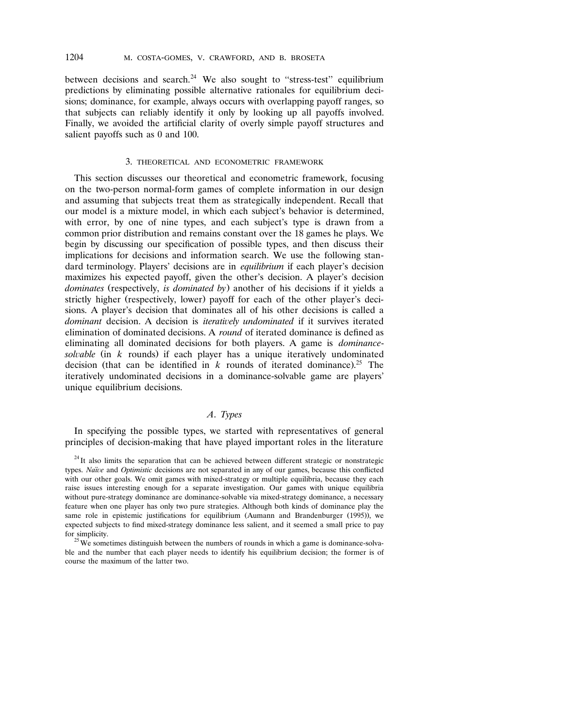between decisions and search.<sup>24</sup> We also sought to "stress-test" equilibrium predictions by eliminating possible alternative rationales for equilibrium decisions; dominance, for example, always occurs with overlapping payoff ranges, so that subjects can reliably identify it only by looking up all payoffs involved. Finally, we avoided the artificial clarity of overly simple payoff structures and salient payoffs such as 0 and 100.

#### 3. THEORETICAL AND ECONOMETRIC FRAMEWORK

This section discusses our theoretical and econometric framework, focusing on the two-person normal-form games of complete information in our design and assuming that subjects treat them as strategically independent. Recall that our model is a mixture model, in which each subject's behavior is determined, with error, by one of nine types, and each subject's type is drawn from a common prior distribution and remains constant over the 18 games he plays. We begin by discussing our specification of possible types, and then discuss their implications for decisions and information search. We use the following standard terminology. Players' decisions are in *equilibrium* if each player's decision maximizes his expected payoff, given the other's decision. A player's decision *dominates* (respectively, *is dominated by*) another of his decisions if it yields a strictly higher (respectively, lower) payoff for each of the other player's decisions. A player's decision that dominates all of his other decisions is called a *dominant* decision. A decision is *iteratiely undominated* if it survives iterated elimination of dominated decisions. A *round* of iterated dominance is defined as eliminating all dominated decisions for both players. A game is *dominancesolvable* (in  $k$  rounds) if each player has a unique iteratively undominated decision (that can be identified in  $k$  rounds of iterated dominance).<sup>25</sup> The iteratively undominated decisions in a dominance-solvable game are players' unique equilibrium decisions.

# *A*. *Types*

In specifying the possible types, we started with representatives of general principles of decision-making that have played important roles in the literature

ble and the number that each player needs to identify his equilibrium decision; the former is of course the maximum of the latter two.

 $^{24}$ It also limits the separation that can be achieved between different strategic or nonstrategic types. *Naïve* and *Optimistic* decisions are not separated in any of our games, because this conflicted with our other goals. We omit games with mixed-strategy or multiple equilibria, because they each raise issues interesting enough for a separate investigation. Our games with unique equilibria without pure-strategy dominance are dominance-solvable via mixed-strategy dominance, a necessary feature when one player has only two pure strategies. Although both kinds of dominance play the same role in epistemic justifications for equilibrium (Aumann and Brandenburger (1995)), we expected subjects to find mixed-strategy dominance less salient, and it seemed a small price to pay for simplicity.<br><sup>25</sup>We sometimes distinguish between the numbers of rounds in which a game is dominance-solva-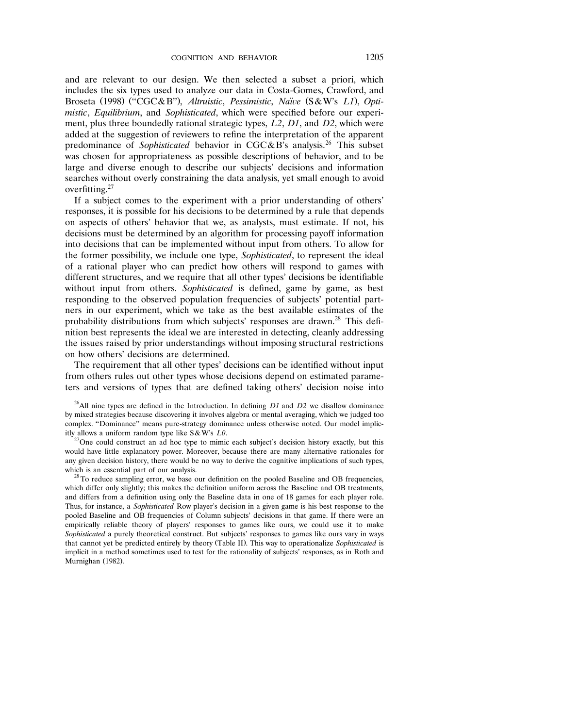and are relevant to our design. We then selected a subset a priori, which includes the six types used to analyze our data in Costa-Gomes, Crawford, and Broseta (1998) ("CGC&B"), *Altruistic*, *Pessimistic*, *Naïve* (S&W's *L1*), *Optimistic*, *Equilibrium*, and *Sophisticated*, which were specified before our experiment, plus three boundedly rational strategic types, *L2*, *D1*, and *D2*, which were added at the suggestion of reviewers to refine the interpretation of the apparent predominance of *Sophisticated* behavior in CGC&B's analysis.<sup>26</sup> This subset was chosen for appropriateness as possible descriptions of behavior, and to be large and diverse enough to describe our subjects' decisions and information searches without overly constraining the data analysis, yet small enough to avoid overfitting.<sup>27</sup>

If a subject comes to the experiment with a prior understanding of others' responses, it is possible for his decisions to be determined by a rule that depends on aspects of others' behavior that we, as analysts, must estimate. If not, his decisions must be determined by an algorithm for processing payoff information into decisions that can be implemented without input from others. To allow for the former possibility, we include one type, *Sophisticated*, to represent the ideal of a rational player who can predict how others will respond to games with different structures, and we require that all other types' decisions be identifiable without input from others. *Sophisticated* is defined, game by game, as best responding to the observed population frequencies of subjects' potential partners in our experiment, which we take as the best available estimates of the probability distributions from which subjects' responses are drawn.<sup>28</sup> This definition best represents the ideal we are interested in detecting, cleanly addressing the issues raised by prior understandings without imposing structural restrictions on how others' decisions are determined.

The requirement that all other types' decisions can be identified without input from others rules out other types whose decisions depend on estimated parameters and versions of types that are defined taking others' decision noise into

26All nine types are defined in the Introduction. In defining *D1* and *D2* we disallow dominance by mixed strategies because discovering it involves algebra or mental averaging, which we judged too complex. ''Dominance'' means pure-strategy dominance unless otherwise noted. Our model implicitly allows a uniform random type like S&W's *L0*. 27One could construct an ad hoc type to mimic each subject's decision history exactly, but this

would have little explanatory power. Moreover, because there are many alternative rationales for any given decision history, there would be no way to derive the cognitive implications of such types, which is an essential part of our analysis.<br><sup>28</sup>To reduce sampling error, we base our definition on the pooled Baseline and OB frequencies,

which differ only slightly; this makes the definition uniform across the Baseline and OB treatments, and differs from a definition using only the Baseline data in one of 18 games for each player role. Thus, for instance, a *Sophisticated* Row player's decision in a given game is his best response to the pooled Baseline and OB frequencies of Column subjects' decisions in that game. If there were an empirically reliable theory of players' responses to games like ours, we could use it to make *Sophisticated* a purely theoretical construct. But subjects' responses to games like ours vary in ways that cannot yet be predicted entirely by theory (Table II). This way to operationalize *Sophisticated* is implicit in a method sometimes used to test for the rationality of subjects' responses, as in Roth and Murnighan (1982).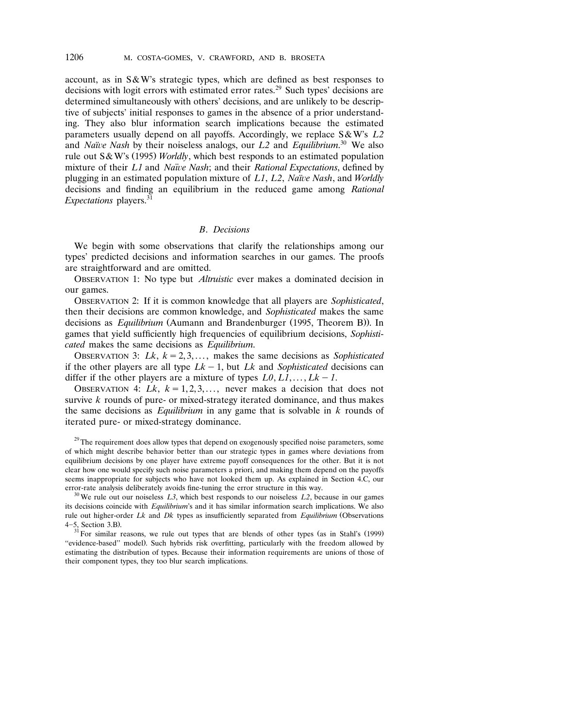account, as in S&W's strategic types, which are defined as best responses to decisions with logit errors with estimated error rates.<sup>29</sup> Such types' decisions are determined simultaneously with others' decisions, and are unlikely to be descriptive of subjects' initial responses to games in the absence of a prior understanding. They also blur information search implications because the estimated parameters usually depend on all payoffs. Accordingly, we replace S&W's *L2* and *Naïve Nash* by their noiseless analogs, our  $L2$  and *Equilibrium*.<sup>30</sup> We also rule out  $S&W$ 's (1995) *Worldly*, which best responds to an estimated population mixture of their *L1* and *Naïve Nash*; and their *Rational Expectations*, defined by plugging in an estimated population mixture of *L1*, *L2*, *Na*¨*ıe Nash*, and *Worldly* decisions and finding an equilibrium in the reduced game among *Rational Expectations* players.<sup>31</sup>

### *B*. *Decisions*

We begin with some observations that clarify the relationships among our types' predicted decisions and information searches in our games. The proofs are straightforward and are omitted.

OBSERVATION 1: No type but *Altruistic* ever makes a dominated decision in our games.

OBSERVATION 2: If it is common knowledge that all players are *Sophisticated*, then their decisions are common knowledge, and *Sophisticated* makes the same decisions as *Equilibrium* (Aumann and Brandenburger (1995, Theorem B)). In games that yield sufficiently high frequencies of equilibrium decisions, *Sophisticated* makes the same decisions as *Equilibrium*.

OBSERVATION 3: Lk,  $k = 2, 3, \ldots$ , makes the same decisions as *Sophisticated* if the other players are all type  $Lk-1$ , but  $Lk$  and *Sophisticated* decisions can differ if the other players are a mixture of types  $L0, L1, \ldots, Lk-1$ .

OBSERVATION 4:  $Lk$ ,  $k = 1, 2, 3, \ldots$ , never makes a decision that does not survive *k* rounds of pure- or mixed-strategy iterated dominance, and thus makes the same decisions as *Equilibrium* in any game that is solvable in *k* rounds of iterated pure- or mixed-strategy dominance.

<sup>29</sup>The requirement does allow types that depend on exogenously specified noise parameters, some of which might describe behavior better than our strategic types in games where deviations from equilibrium decisions by one player have extreme payoff consequences for the other. But it is not clear how one would specify such noise parameters a priori, and making them depend on the payoffs seems inappropriate for subjects who have not looked them up. As explained in Section 4.C, our error-rate analysis deliberately avoids fine-tuning the error structure in this way. <sup>30</sup> We rule out our noiseless *L3*, which best responds to our noiseless *L2*, because in our games

its decisions coincide with *Equilibrium*'s and it has similar information search implications. We also rule out higher-order  $Lk$  and  $Dk$  types as insufficiently separated from *Equilibrium* (Observations

4–5, Section 3.B).<br> $31$  For similar reasons, we rule out types that are blends of other types (as in Stahl's (1999) "evidence-based" model). Such hybrids risk overfitting, particularly with the freedom allowed by estimating the distribution of types. Because their information requirements are unions of those of their component types, they too blur search implications.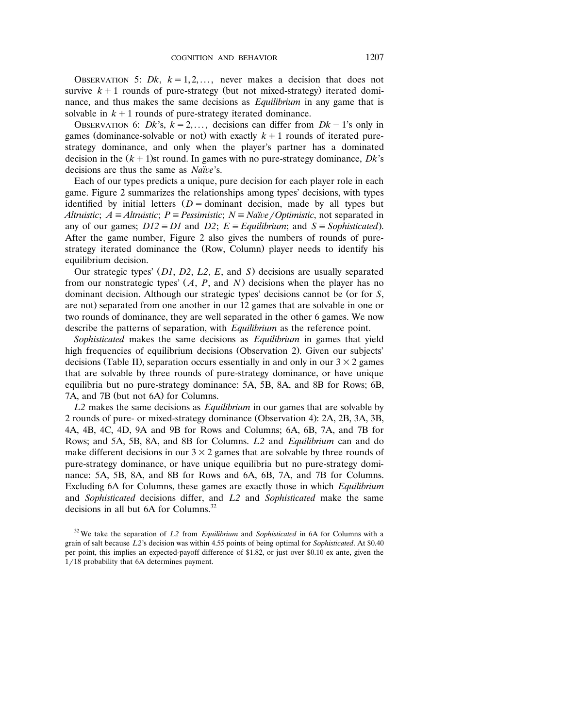OBSERVATION 5: *Dk*,  $k = 1, 2, \ldots$ , never makes a decision that does not survive  $k+1$  rounds of pure-strategy (but not mixed-strategy) iterated dominance, and thus makes the same decisions as *Equilibrium* in any game that is solvable in  $k+1$  rounds of pure-strategy iterated dominance.

OBSERVATION 6: *Dk*'s,  $k = 2, \ldots$ , decisions can differ from  $Dk - 1$ 's only in games (dominance-solvable or not) with exactly  $k + 1$  rounds of iterated purestrategy dominance, and only when the player's partner has a dominated decision in the  $(k + 1)$ st round. In games with no pure-strategy dominance, *Dk*'s decisions are thus the same as *Naïve*'s.

Each of our types predicts a unique, pure decision for each player role in each game. Figure 2 summarizes the relationships among types' decisions, with types identified by initial letters  $(D =$  dominant decision, made by all types but *Altruistic*;  $A =$  *Altruistic*;  $P =$  *Pessimistic*;  $N =$  *Naïve / Optimistic*, not separated in any of our games;  $D12 \equiv D1$  and  $D2$ ;  $E = Equilibrium$ ; and  $S = Sophia/3$ . After the game number, Figure 2 also gives the numbers of rounds of purestrategy iterated dominance the (Row, Column) player needs to identify his equilibrium decision.

Our strategic types'  $(D1, D2, L2, E, \text{ and } S)$  decisions are usually separated from our nonstrategic types'  $(A, P, \text{ and } N)$  decisions when the player has no dominant decision. Although our strategic types' decisions cannot be (or for S, are not) separated from one another in our 12 games that are solvable in one or two rounds of dominance, they are well separated in the other 6 games. We now describe the patterns of separation, with *Equilibrium* as the reference point.

*Sophisticated* makes the same decisions as *Equilibrium* in games that yield high frequencies of equilibrium decisions (Observation 2). Given our subjects' decisions (Table II), separation occurs essentially in and only in our  $3 \times 2$  games that are solvable by three rounds of pure-strategy dominance, or have unique equilibria but no pure-strategy dominance: 5A, 5B, 8A, and 8B for Rows; 6B, 7A, and 7B (but not 6A) for Columns.

*L2* makes the same decisions as *Equilibrium* in our games that are solvable by 2 rounds of pure- or mixed-strategy dominance (Observation 4): 2A, 2B, 3A, 3B, 4A, 4B, 4C, 4D, 9A and 9B for Rows and Columns; 6A, 6B, 7A, and 7B for Rows; and 5A, 5B, 8A, and 8B for Columns. *L2* and *Equilibrium* can and do make different decisions in our  $3 \times 2$  games that are solvable by three rounds of pure-strategy dominance, or have unique equilibria but no pure-strategy dominance: 5A, 5B, 8A, and 8B for Rows and 6A, 6B, 7A, and 7B for Columns. Excluding 6A for Columns, these games are exactly those in which *Equilibrium* and *Sophisticated* decisions differ, and *L2* and *Sophisticated* make the same decisions in all but 6A for Columns.32

<sup>32</sup> We take the separation of *L2* from *Equilibrium* and *Sophisticated* in 6A for Columns with a grain of salt because *L2*'s decision was within 4.55 points of being optimal for *Sophisticated*. At \$0.40 per point, this implies an expected-payoff difference of \$1.82, or just over \$0.10 ex ante, given the 1/18 probability that 6A determines payment.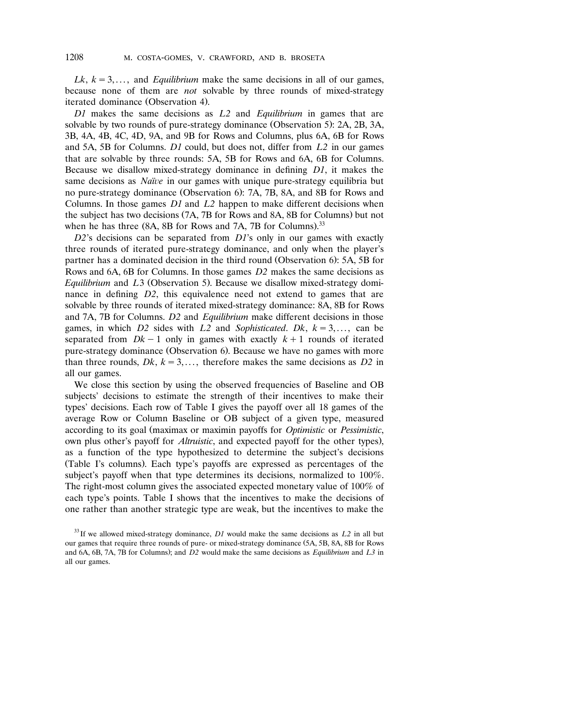*Lk*,  $k = 3, \ldots$ , and *Equilibrium* make the same decisions in all of our games, because none of them are *not* solvable by three rounds of mixed-strategy iterated dominance (Observation 4).

*D1* makes the same decisions as *L2* and *Equilibrium* in games that are solvable by two rounds of pure-strategy dominance (Observation 5): 2A, 2B, 3A, 3B, 4A, 4B, 4C, 4D, 9A, and 9B for Rows and Columns, plus 6A, 6B for Rows and 5A, 5B for Columns. *D1* could, but does not, differ from *L2* in our games that are solvable by three rounds: 5A, 5B for Rows and 6A, 6B for Columns. Because we disallow mixed-strategy dominance in defining *D1*, it makes the same decisions as *Naïve* in our games with unique pure-strategy equilibria but no pure-strategy dominance (Observation 6): 7A, 7B, 8A, and 8B for Rows and Columns. In those games *D1* and *L2* happen to make different decisions when the subject has two decisions (7A, 7B for Rows and 8A, 8B for Columns) but not when he has three  $(8A, 8B)$  for Rows and 7A, 7B for Columns).<sup>33</sup>

*D2*'s decisions can be separated from *D1*'s only in our games with exactly three rounds of iterated pure-strategy dominance, and only when the player's partner has a dominated decision in the third round (Observation  $6$ ): 5A, 5B for Rows and 6A, 6B for Columns. In those games *D2* makes the same decisions as *Equilibrium* and *L*3 (Observation 5). Because we disallow mixed-strategy dominance in defining *D2*, this equivalence need not extend to games that are solvable by three rounds of iterated mixed-strategy dominance: 8A, 8B for Rows and 7A, 7B for Columns. *D2* and *Equilibrium* make different decisions in those games, in which  $D2$  sides with  $L2$  and *Sophisticated*.  $Dk$ ,  $k = 3, \ldots$ , can be separated from  $Dk-1$  only in games with exactly  $k+1$  rounds of iterated pure-strategy dominance (Observation 6). Because we have no games with more than three rounds,  $Dk$ ,  $k = 3, \ldots$ , therefore makes the same decisions as  $D2$  in all our games.

We close this section by using the observed frequencies of Baseline and OB subjects' decisions to estimate the strength of their incentives to make their types' decisions. Each row of Table I gives the payoff over all 18 games of the average Row or Column Baseline or OB subject of a given type, measured according to its goal (maximax or maximin payoffs for *Optimistic* or *Pessimistic*, own plus other's payoff for *Altruistic*, and expected payoff for the other types), as a function of the type hypothesized to determine the subject's decisions (Table I's columns). Each type's payoffs are expressed as percentages of the subject's payoff when that type determines its decisions, normalized to 100%. The right-most column gives the associated expected monetary value of 100% of each type's points. Table I shows that the incentives to make the decisions of one rather than another strategic type are weak, but the incentives to make the

<sup>33</sup> If we allowed mixed-strategy dominance, *D1* would make the same decisions as *L2* in all but our games that require three rounds of pure- or mixed-strategy dominance (5A, 5B, 8A, 8B for Rows and 6A, 6B, 7A, 7B for Columns); and *D2* would make the same decisions as *Equilibrium* and *L3* in all our games.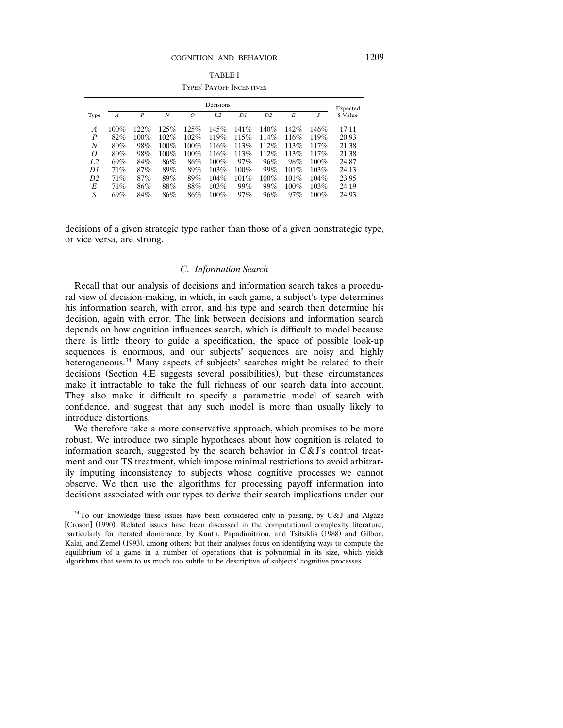| <b>TYPES' PAYOFF INCENTIVES</b> |           |                  |         |                |                |      |                |      |          |          |
|---------------------------------|-----------|------------------|---------|----------------|----------------|------|----------------|------|----------|----------|
|                                 | Decisions |                  |         |                |                |      |                |      | Expected |          |
| Type                            | А         | $\boldsymbol{P}$ | N       | $\overline{O}$ | L <sub>2</sub> | D1   | D <sub>2</sub> | E    | S        | \$ Value |
| А                               | 100%      | 122%             | 125%    | 125%           | 145%           | 141% | 140%           | 142% | 146%     | 17.11    |
| $\boldsymbol{P}$                | 82%       | $100\%$          | 102%    | 102%           | 119%           | 115% | 114%           | 116% | 119%     | 20.93    |
| $\overline{N}$                  | 80%       | 98%              | 100%    | 100%           | 116%           | 113% | 112%           | 113% | 117%     | 21.38    |
| 0                               | $80\%$    | 98%              | $100\%$ | $100\%$        | 116%           | 113% | 112%           | 113% | 117%     | 21.38    |
| L <sub>2</sub>                  | $69\%$    | 84%              | 86%     | 86%            | $100\%$        | 97%  | 96%            | 98%  | 100%     | 24.87    |
| D1                              | 71%       | 87%              | 89%     | 89%            | 103%           | 100% | 99%            | 101% | 103%     | 24.13    |
| D2                              | 71%       | 87%              | 89%     | 89%            | 104%           | 101% | 100%           | 101% | 104%     | 23.95    |
| E                               | 71%       | 86%              | 88%     | 88%            | 103%           | 99%  | 99%            | 100% | 103%     | 24.19    |
| S                               | 69%       | 84%              | 86%     | 86%            | $100\%$        | 97%  | 96%            | 97%  | 100%     | 24.93    |

| <b>TABLE I</b>           |  |
|--------------------------|--|
| Fvpes' Pavoee Incentives |  |

 $\equiv$ 

decisions of a given strategic type rather than those of a given nonstrategic type, or vice versa, are strong.

### *C*. *Information Search*

Recall that our analysis of decisions and information search takes a procedural view of decision-making, in which, in each game, a subject's type determines his information search, with error, and his type and search then determine his decision, again with error. The link between decisions and information search depends on how cognition influences search, which is difficult to model because there is little theory to guide a specification, the space of possible look-up sequences is enormous, and our subjects' sequences are noisy and highly heterogeneous.<sup>34</sup> Many aspects of subjects' searches might be related to their decisions (Section 4.E suggests several possibilities), but these circumstances make it intractable to take the full richness of our search data into account. They also make it difficult to specify a parametric model of search with confidence, and suggest that any such model is more than usually likely to introduce distortions.

We therefore take a more conservative approach, which promises to be more robust. We introduce two simple hypotheses about how cognition is related to information search, suggested by the search behavior in  $C\&J$ 's control treatment and our TS treatment, which impose minimal restrictions to avoid arbitrarily imputing inconsistency to subjects whose cognitive processes we cannot observe. We then use the algorithms for processing payoff information into decisions associated with our types to derive their search implications under our

 $34$ To our knowledge these issues have been considered only in passing, by C&J and Algaze [Croson] (1990). Related issues have been discussed in the computational complexity literature, particularly for iterated dominance, by Knuth, Papadimitriou, and Tsitsiklis (1988) and Gilboa, Kalai, and Zemel (1993), among others; but their analyses focus on identifying ways to compute the equilibrium of a game in a number of operations that is polynomial in its size, which yields algorithms that seem to us much too subtle to be descriptive of subjects' cognitive processes.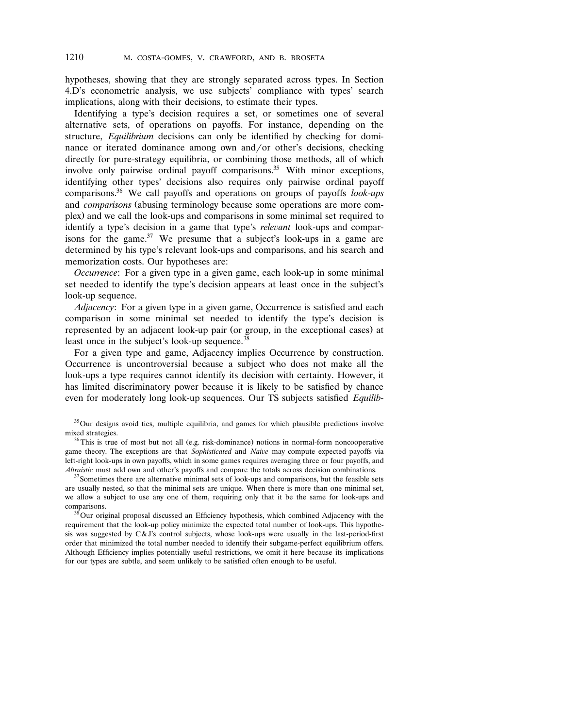hypotheses, showing that they are strongly separated across types. In Section 4.D's econometric analysis, we use subjects' compliance with types' search implications, along with their decisions, to estimate their types.

Identifying a type's decision requires a set, or sometimes one of several alternative sets, of operations on payoffs. For instance, depending on the structure, *Equilibrium* decisions can only be identified by checking for dominance or iterated dominance among own and/or other's decisions, checking directly for pure-strategy equilibria, or combining those methods, all of which involve only pairwise ordinal payoff comparisons.<sup>35</sup> With minor exceptions, identifying other types' decisions also requires only pairwise ordinal payoff comparisons.36 We call payoffs and operations on groups of payoffs *look*-*ups* and *comparisons* (abusing terminology because some operations are more complex) and we call the look-ups and comparisons in some minimal set required to identify a type's decision in a game that type's *releant* look-ups and comparisons for the game. $37$  We presume that a subject's look-ups in a game are determined by his type's relevant look-ups and comparisons, and his search and memorization costs. Our hypotheses are:

*Occurrence*: For a given type in a given game, each look-up in some minimal set needed to identify the type's decision appears at least once in the subject's look-up sequence.

*Adjacency*: For a given type in a given game, Occurrence is satisfied and each comparison in some minimal set needed to identify the type's decision is represented by an adjacent look-up pair (or group, in the exceptional cases) at least once in the subject's look-up sequence.<sup>38</sup>

For a given type and game, Adjacency implies Occurrence by construction. Occurrence is uncontroversial because a subject who does not make all the look-ups a type requires cannot identify its decision with certainty. However, it has limited discriminatory power because it is likely to be satisfied by chance even for moderately long look-up sequences. Our TS subjects satisfied *Equilib*-

<sup>35</sup>Our designs avoid ties, multiple equilibria, and games for which plausible predictions involve mixed strategies.<br><sup>36</sup>This is true of most but not all (e.g. risk-dominance) notions in normal-form noncooperative

game theory. The exceptions are that *Sophisticated* and *Naie* may compute expected payoffs via left-right look-ups in own payoffs, which in some games requires averaging three or four payoffs, and *Altruistic* must add own and other's payoffs and compare the totals across decision combinations.<br><sup>37</sup>Sometimes there are alternative minimal sets of look-ups and comparisons, but the feasible sets

are usually nested, so that the minimal sets are unique. When there is more than one minimal set, we allow a subject to use any one of them, requiring only that it be the same for look-ups and

 $38$ Our original proposal discussed an Efficiency hypothesis, which combined Adjacency with the requirement that the look-up policy minimize the expected total number of look-ups. This hypothesis was suggested by C&J's control subjects, whose look-ups were usually in the last-period-first order that minimized the total number needed to identify their subgame-perfect equilibrium offers. Although Efficiency implies potentially useful restrictions, we omit it here because its implications for our types are subtle, and seem unlikely to be satisfied often enough to be useful.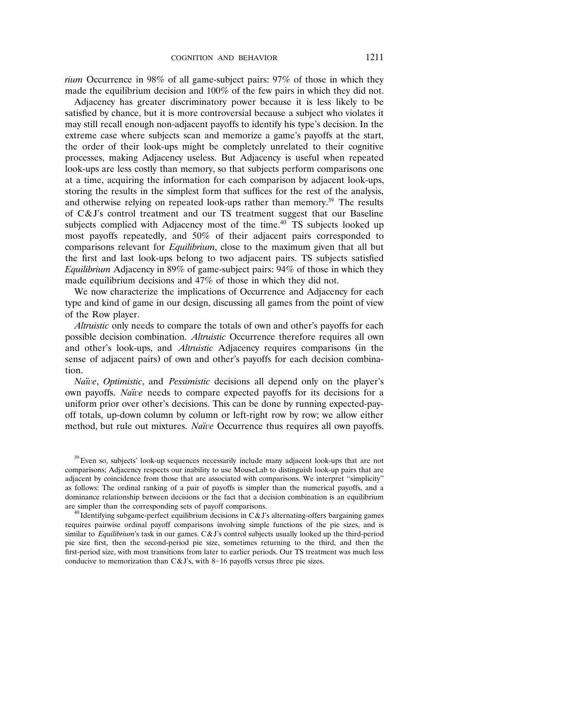*rium* Occurrence in 98% of all game-subject pairs: 97% of those in which they made the equilibrium decision and 100% of the few pairs in which they did not.

Adjacency has greater discriminatory power because it is less likely to be satisfied by chance, but it is more controversial because a subject who violates it may still recall enough non-adjacent payoffs to identify his type's decision. In the extreme case where subjects scan and memorize a game's payoffs at the start, the order of their look-ups might be completely unrelated to their cognitive processes, making Adjacency useless. But Adjacency is useful when repeated look-ups are less costly than memory, so that subjects perform comparisons one at a time, acquiring the information for each comparison by adjacent look-ups, storing the results in the simplest form that suffices for the rest of the analysis, and otherwise relying on repeated look-ups rather than memory.<sup>39</sup> The results of C&J's control treatment and our TS treatment suggest that our Baseline subjects complied with Adjacency most of the time.<sup>40</sup> TS subjects looked up most payoffs repeatedly, and 50% of their adjacent pairs corresponded to comparisons relevant for *Equilibrium*, close to the maximum given that all but the first and last look-ups belong to two adjacent pairs. TS subjects satisfied *Equilibrium* Adjacency in 89% of game-subject pairs: 94% of those in which they made equilibrium decisions and 47% of those in which they did not.

We now characterize the implications of Occurrence and Adjacency for each type and kind of game in our design, discussing all games from the point of view of the Row player.

*Altruistic* only needs to compare the totals of own and other's payoffs for each possible decision combination. *Altruistic* Occurrence therefore requires all own and other's look-ups, and *Altruistic* Adjacency requires comparisons (in the sense of adjacent pairs) of own and other's payoffs for each decision combination.

*Na*¨*ıe*, *Optimistic*, and *Pessimistic* decisions all depend only on the player's own payoffs. *Naïve* needs to compare expected payoffs for its decisions for a uniform prior over other's decisions. This can be done by running expected-payoff totals, up-down column by column or left-right row by row; we allow either method, but rule out mixtures. *Naïve* Occurrence thus requires all own payoffs.

<sup>&</sup>lt;sup>39</sup> Even so, subjects' look-up sequences necessarily include many adjacent look-ups that are not comparisons; Adjacency respects our inability to use MouseLab to distinguish look-up pairs that are adjacent by coincidence from those that are associated with comparisons. We interpret ''simplicity'' as follows: The ordinal ranking of a pair of payoffs is simpler than the numerical payoffs, and a dominance relationship between decisions or the fact that a decision combination is an equilibrium are simpler than the corresponding sets of payoff comparisons.<br><sup>40</sup> Identifying subgame-perfect equilibrium decisions in C&J's alternating-offers bargaining games

requires pairwise ordinal payoff comparisons involving simple functions of the pie sizes, and is similar to *Equilibrium*'s task in our games. C&J's control subjects usually looked up the third-period pie size first, then the second-period pie size, sometimes returning to the third, and then the first-period size, with most transitions from later to earlier periods. Our TS treatment was much less conducive to memorization than  $C&J$ 's, with 8-16 payoffs versus three pie sizes.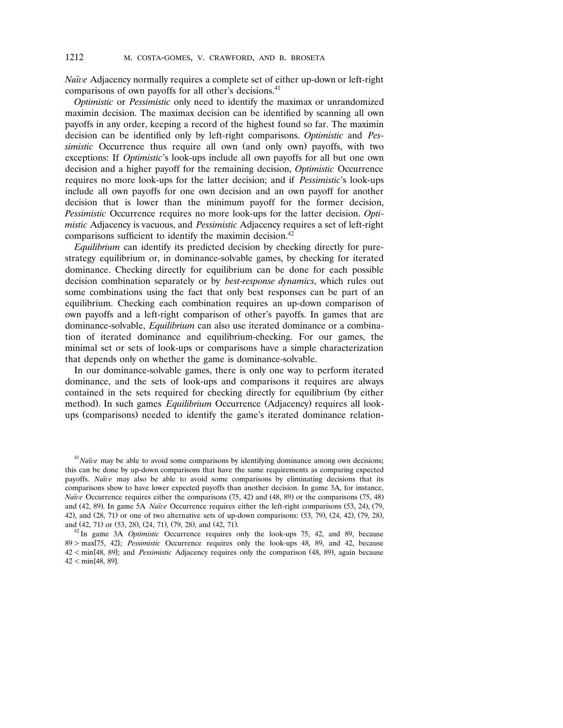*Naïve* Adjacency normally requires a complete set of either up-down or left-right comparisons of own payoffs for all other's decisions.<sup>41</sup>

*Optimistic* or *Pessimistic* only need to identify the maximax or unrandomized maximin decision. The maximax decision can be identified by scanning all own payoffs in any order, keeping a record of the highest found so far. The maximin decision can be identified only by left-right comparisons. *Optimistic* and *Pessimistic* Occurrence thus require all own (and only own) payoffs, with two exceptions: If *Optimistic*'s look-ups include all own payoffs for all but one own decision and a higher payoff for the remaining decision, *Optimistic* Occurrence requires no more look-ups for the latter decision; and if *Pessimistic*'s look-ups include all own payoffs for one own decision and an own payoff for another decision that is lower than the minimum payoff for the former decision, *Pessimistic* Occurrence requires no more look-ups for the latter decision. *Optimistic* Adjacency is vacuous, and *Pessimistic* Adjacency requires a set of left-right comparisons sufficient to identify the maximin decision.<sup>42</sup>

*Equilibrium* can identify its predicted decision by checking directly for purestrategy equilibrium or, in dominance-solvable games, by checking for iterated dominance. Checking directly for equilibrium can be done for each possible decision combination separately or by *best*-*response dynamics*, which rules out some combinations using the fact that only best responses can be part of an equilibrium. Checking each combination requires an up-down comparison of own payoffs and a left-right comparison of other's payoffs. In games that are dominance-solvable, *Equilibrium* can also use iterated dominance or a combination of iterated dominance and equilibrium-checking. For our games, the minimal set or sets of look-ups or comparisons have a simple characterization that depends only on whether the game is dominance-solvable.

In our dominance-solvable games, there is only one way to perform iterated dominance, and the sets of look-ups and comparisons it requires are always contained in the sets required for checking directly for equilibrium (by either method). In such games *Equilibrium* Occurrence (Adjacency) requires all lookups (comparisons) needed to identify the game's iterated dominance relation-

 $\frac{41}{2}$ *Naïve* may be able to avoid some comparisons by identifying dominance among own decisions; this can be done by up-down comparisons that have the same requirements as comparing expected payoffs. *Naïve* may also be able to avoid some comparisons by eliminating decisions that its comparisons show to have lower expected payoffs than another decision. In game 3A, for instance, *Naïve* Occurrence requires either the comparisons (75, 42) and (48, 89) or the comparisons (75, 48) and (42, 89). In game 5A *Naïve* Occurrence requires either the left-right comparisons (53, 24), (79, 42), and  $(28, 71)$  or one of two alternative sets of up-down comparisons:  $(53, 79)$ ,  $(24, 42)$ ,  $(79, 28)$ , and (42, 71) or (53, 28), (24, 71), (79, 28), and (42, 71).

<sup>42</sup> In game 3A *Optimistic* Occurrence requires only the look-ups 75, 42, and 89, because  $89 > \text{max}$  $(75, 42)$ ; *Pessimistic* Occurrence requires only the look-ups 48, 89, and 42, because 42 < min 48, 89); and *Pessimistic* Adjacency requires only the comparison (48, 89), again because  $42 < \text{min} \{48, 89\}.$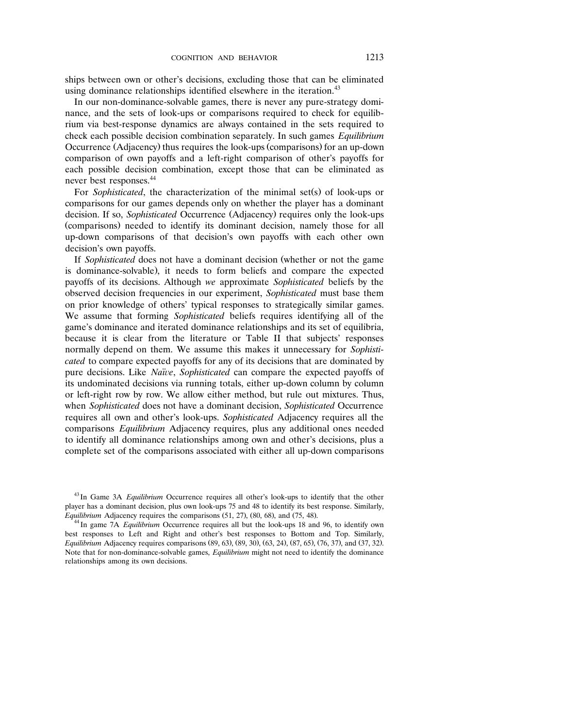ships between own or other's decisions, excluding those that can be eliminated using dominance relationships identified elsewhere in the iteration.<sup>43</sup>

In our non-dominance-solvable games, there is never any pure-strategy dominance, and the sets of look-ups or comparisons required to check for equilibrium via best-response dynamics are always contained in the sets required to check each possible decision combination separately. In such games *Equilibrium* Occurrence (Adjacency) thus requires the look-ups (comparisons) for an up-down comparison of own payoffs and a left-right comparison of other's payoffs for each possible decision combination, except those that can be eliminated as never best responses.<sup>44</sup>

For *Sophisticated*, the characterization of the minimal set(s) of look-ups or comparisons for our games depends only on whether the player has a dominant decision. If so, *Sophisticated* Occurrence (Adjacency) requires only the look-ups (comparisons) needed to identify its dominant decision, namely those for all up-down comparisons of that decision's own payoffs with each other own decision's own payoffs.

If *Sophisticated* does not have a dominant decision (whether or not the game is dominance-solvable), it needs to form beliefs and compare the expected payoffs of its decisions. Although *we* approximate *Sophisticated* beliefs by the observed decision frequencies in our experiment, *Sophisticated* must base them on prior knowledge of others' typical responses to strategically similar games. We assume that forming *Sophisticated* beliefs requires identifying all of the game's dominance and iterated dominance relationships and its set of equilibria, because it is clear from the literature or Table II that subjects' responses normally depend on them. We assume this makes it unnecessary for *Sophisticated* to compare expected payoffs for any of its decisions that are dominated by pure decisions. Like *Naïve*, *Sophisticated* can compare the expected payoffs of its undominated decisions via running totals, either up-down column by column or left-right row by row. We allow either method, but rule out mixtures. Thus, when *Sophisticated* does not have a dominant decision, *Sophisticated* Occurrence requires all own and other's look-ups. *Sophisticated* Adjacency requires all the comparisons *Equilibrium* Adjacency requires, plus any additional ones needed to identify all dominance relationships among own and other's decisions, plus a complete set of the comparisons associated with either all up-down comparisons

<sup>43</sup> In Game 3A *Equilibrium* Occurrence requires all other's look-ups to identify that the other player has a dominant decision, plus own look-ups 75 and 48 to identify its best response. Similarly, *Equilibrium* Adjacency requires the comparisons (51, 27), (80, 68), and (75, 48).

<sup>&</sup>lt;sup>44</sup> In game 7A *Equilibrium* Occurrence requires all but the look-ups 18 and 96, to identify own best responses to Left and Right and other's best responses to Bottom and Top. Similarly, *Equilibrium* Adjacency requires comparisons (89, 63), (89, 30), (63, 24), (87, 65), (76, 37), and (37, 32). Note that for non-dominance-solvable games, *Equilibrium* might not need to identify the dominance relationships among its own decisions.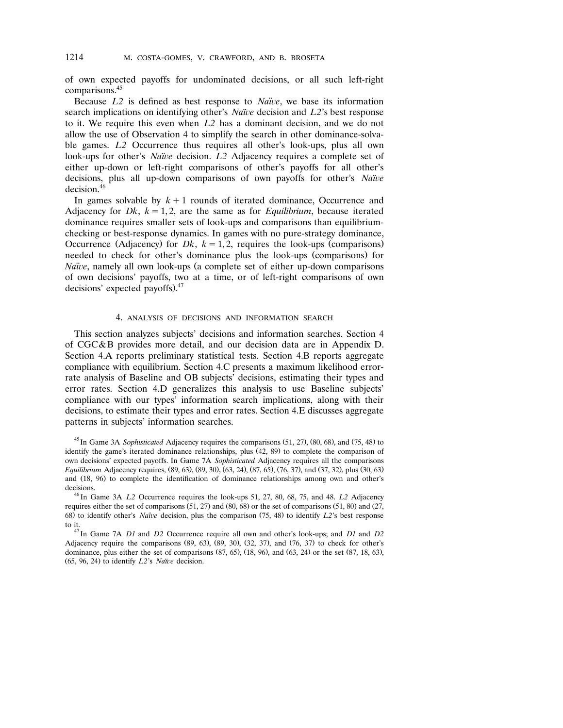of own expected payoffs for undominated decisions, or all such left-right comparisons.45

Because *L2* is defined as best response to *Naïve*, we base its information search implications on identifying other's *Naïve* decision and *L2*'s best response to it. We require this even when *L2* has a dominant decision, and we do not allow the use of Observation 4 to simplify the search in other dominance-solvable games. *L2* Occurrence thus requires all other's look-ups, plus all own look-ups for other's *Naïve* decision. *L2* Adjacency requires a complete set of either up-down or left-right comparisons of other's payoffs for all other's decisions, plus all up-down comparisons of own payoffs for other's *Na*¨*ıe* decision.<sup>46</sup>

In games solvable by  $k+1$  rounds of iterated dominance, Occurrence and Adjacency for *Dk*,  $k = 1, 2$ , are the same as for *Equilibrium*, because iterated dominance requires smaller sets of look-ups and comparisons than equilibriumchecking or best-response dynamics. In games with no pure-strategy dominance, Occurrence (Adjacency) for *Dk*,  $k = 1, 2$ , requires the look-ups (comparisons) needed to check for other's dominance plus the look-ups (comparisons) for *Naïve*, namely all own look-ups (a complete set of either up-down comparisons of own decisions' payoffs, two at a time, or of left-right comparisons of own decisions' expected payoffs).<sup>47</sup>

### 4. ANALYSIS OF DECISIONS AND INFORMATION SEARCH

This section analyzes subjects' decisions and information searches. Section 4 of CGC&B provides more detail, and our decision data are in Appendix D. Section 4.A reports preliminary statistical tests. Section 4.B reports aggregate compliance with equilibrium. Section 4.C presents a maximum likelihood errorrate analysis of Baseline and OB subjects' decisions, estimating their types and error rates. Section 4.D generalizes this analysis to use Baseline subjects' compliance with our types' information search implications, along with their decisions, to estimate their types and error rates. Section 4.E discusses aggregate patterns in subjects' information searches.

<sup>45</sup> In Game 3A *Sophisticated* Adjacency requires the comparisons (51, 27), (80, 68), and (75, 48) to identify the game's iterated dominance relationships, plus  $(42, 89)$  to complete the comparison of own decisions' expected payoffs. In Game 7A *Sophisticated* Adjacency requires all the comparisons *Equilibrium* Adjacency requires, (89, 63), (89, 30), (63, 24), (87, 65), (76, 37), and (37, 32), plus (30, 63) and  $(18, 96)$  to complete the identification of dominance relationships among own and other's decisions. <sup>46</sup> In Game 3A *L2* Occurrence requires the look-ups 51, 27, 80, 68, 75, and 48. *L2* Adjacency

requires either the set of comparisons  $(51, 27)$  and  $(80, 68)$  or the set of comparisons  $(51, 80)$  and  $(27, 80)$ 68) to identify other's *Naïve* decision, plus the comparison (75, 48) to identify *L2*'s best response to it. <sup>47</sup> In Game 7A *D1* and *D2* Occurrence require all own and other's look-ups; and *D1* and *D2*

Adjacency require the comparisons  $(89, 63)$ ,  $(89, 30)$ ,  $(32, 37)$ , and  $(76, 37)$  to check for other's dominance, plus either the set of comparisons  $(87, 65)$ ,  $(18, 96)$ , and  $(63, 24)$  or the set  $(87, 18, 63)$ ,  $(65, 96, 24)$  to identify  $L2$ 's *Naïve* decision.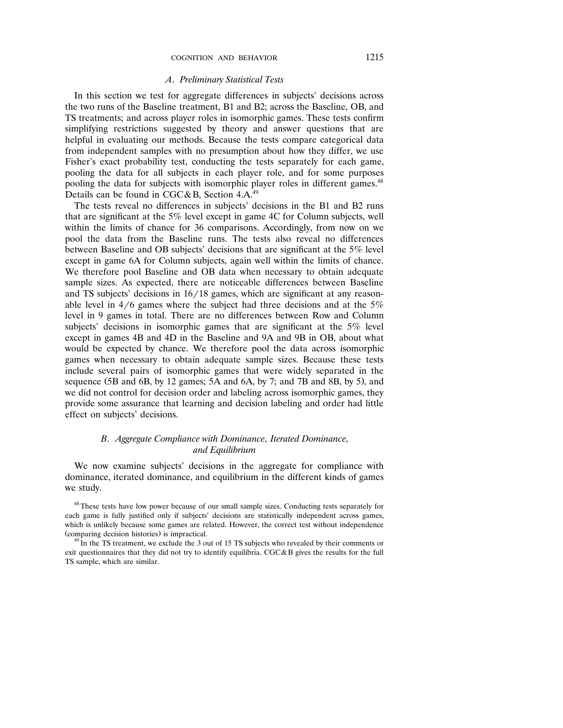### COGNITION AND BEHAVIOR 1215

## *A*. *Preliminary Statistical Tests*

In this section we test for aggregate differences in subjects' decisions across the two runs of the Baseline treatment, B1 and B2; across the Baseline, OB, and TS treatments; and across player roles in isomorphic games. These tests confirm simplifying restrictions suggested by theory and answer questions that are helpful in evaluating our methods. Because the tests compare categorical data from independent samples with no presumption about how they differ, we use Fisher's exact probability test, conducting the tests separately for each game, pooling the data for all subjects in each player role, and for some purposes pooling the data for subjects with isomorphic player roles in different games.<sup>48</sup> Details can be found in  $CGC&B$ , Section 4.A.<sup>49</sup>

The tests reveal no differences in subjects' decisions in the B1 and B2 runs that are significant at the 5% level except in game 4C for Column subjects, well within the limits of chance for 36 comparisons. Accordingly, from now on we pool the data from the Baseline runs. The tests also reveal no differences between Baseline and OB subjects' decisions that are significant at the 5% level except in game 6A for Column subjects, again well within the limits of chance. We therefore pool Baseline and OB data when necessary to obtain adequate sample sizes. As expected, there are noticeable differences between Baseline and TS subjects' decisions in  $16/18$  games, which are significant at any reasonable level in  $4/6$  games where the subject had three decisions and at the  $5%$ level in 9 games in total. There are no differences between Row and Column subjects' decisions in isomorphic games that are significant at the 5% level except in games 4B and 4D in the Baseline and 9A and 9B in OB, about what would be expected by chance. We therefore pool the data across isomorphic games when necessary to obtain adequate sample sizes. Because these tests include several pairs of isomorphic games that were widely separated in the sequence  $(5B \text{ and } 6B, \text{ by } 12 \text{ games}; 5A \text{ and } 6A, \text{ by } 7; \text{ and } 7B \text{ and } 8B, \text{ by } 5)$ , and we did not control for decision order and labeling across isomorphic games, they provide some assurance that learning and decision labeling and order had little effect on subjects' decisions.

## *B*. *Aggregate Compliance with Dominance*, *Iterated Dominance*, *and Equilibrium*

We now examine subjects' decisions in the aggregate for compliance with dominance, iterated dominance, and equilibrium in the different kinds of games we study.

<sup>48</sup>These tests have low power because of our small sample sizes. Conducting tests separately for each game is fully justified only if subjects' decisions are statistically independent across games, which is unlikely because some games are related. However, the correct test without independence (comparing decision histories) is impractical.<br><sup>49</sup> In the TS treatment, we exclude the 3 out of 15 TS subjects who revealed by their comments or

exit questionnaires that they did not try to identify equilibria. CGC&B gives the results for the full TS sample, which are similar.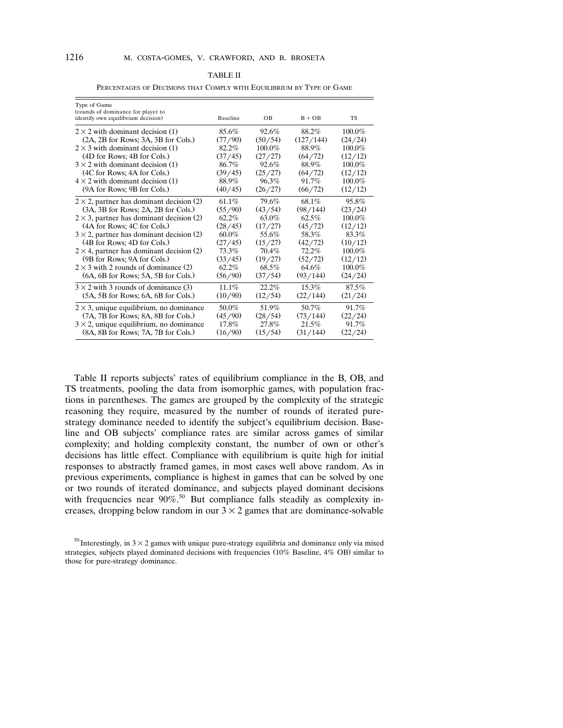| Type of Game<br>(rounds of dominance for player to<br>identify own equilibrium decision) | <b>Baseline</b> | OВ        | $B + OB$  | <b>TS</b> |
|------------------------------------------------------------------------------------------|-----------------|-----------|-----------|-----------|
| $2 \times 2$ with dominant decision (1)                                                  | 85.6%           | $92.6\%$  | 88.2%     | $100.0\%$ |
| $(2A, 2B$ for Rows; $3A, 3B$ for Cols.)                                                  | (77/90)         | (50/54)   | (127/144) | (24/24)   |
| $2 \times 3$ with dominant decision (1)                                                  | 82.2%           | $100.0\%$ | 88.9%     | $100.0\%$ |
| (4D for Rows; 4B for Cols.)                                                              | (37/45)         | (27/27)   | (64/72)   | (12/12)   |
| $3 \times 2$ with dominant decision (1)                                                  | 86.7%           | 92.6%     | 88.9%     | $100.0\%$ |
| (4C for Rows; 4A for Cols.)                                                              | (39/45)         | (25/27)   | (64/72)   | (12/12)   |
| $4 \times 2$ with dominant decision (1)                                                  | 88.9%           | 96.3%     | 91.7%     | $100.0\%$ |
| (9A for Rows; 9B for Cols.)                                                              | (40/45)         | (26/27)   | (66/72)   | (12/12)   |
| $2 \times 2$ , partner has dominant decision (2)                                         | 61.1%           | 79.6%     | 68.1%     | 95.8%     |
| $(3A, 3B)$ for Rows; 2A, 2B for Cols.)                                                   | (55/90)         | (43/54)   | (98/144)  | (23/24)   |
| $2 \times 3$ , partner has dominant decision (2)                                         | 62.2%           | $63.0\%$  | $62.5\%$  | $100.0\%$ |
| (4A for Rows; 4C for Cols.)                                                              | (28/45)         | (17/27)   | (45/72)   | (12/12)   |
| $3 \times 2$ , partner has dominant decision (2)                                         | $60.0\%$        | 55.6%     | 58.3%     | 83.3%     |
| (4B for Rows; 4D for Cols.)                                                              | (27/45)         | (15/27)   | (42/72)   | (10/12)   |
| $2 \times 4$ , partner has dominant decision (2)                                         | 73.3%           | $70.4\%$  | 72.2%     | $100.0\%$ |
| (9B for Rows; 9A for Cols.)                                                              | (33/45)         | (19/27)   | (52/72)   | (12/12)   |
| $2 \times 3$ with 2 rounds of dominance (2)                                              | 62.2%           | $68.5\%$  | 64.6%     | $100.0\%$ |
| $(6A, 6B$ for Rows; 5A, 5B for Cols.)                                                    | (56/90)         | (37/54)   | (93/144)  | (24/24)   |
| $3 \times 2$ with 3 rounds of dominance (3)                                              | $11.1\%$        | 22.2%     | 15.3%     | 87.5%     |
| $(5A, 5B)$ for Rows; $6A, 6B$ for Cols.)                                                 | (10/90)         | (12/54)   | (22/144)  | (21/24)   |
| $2 \times 3$ , unique equilibrium, no dominance                                          | 50.0%           | 51.9%     | 50.7%     | 91.7%     |
| (7A, 7B for Rows; 8A, 8B for Cols.)                                                      | (45/90)         | (28/54)   | (73/144)  | (22/24)   |
| $3 \times 2$ , unique equilibrium, no dominance                                          | 17.8%           | 27.8%     | 21.5%     | 91.7%     |
| (8A, 8B for Rows; 7A, 7B for Cols.)                                                      | (16/90)         | (15/54)   | (31/144)  | (22/24)   |

TABLE II

PERCENTAGES OF DECISIONS THAT COMPLY WITH EQUILIBRIUM BY TYPE OF GAME

Table II reports subjects' rates of equilibrium compliance in the B, OB, and TS treatments, pooling the data from isomorphic games, with population fractions in parentheses. The games are grouped by the complexity of the strategic reasoning they require, measured by the number of rounds of iterated purestrategy dominance needed to identify the subject's equilibrium decision. Baseline and OB subjects' compliance rates are similar across games of similar complexity; and holding complexity constant, the number of own or other's decisions has little effect. Compliance with equilibrium is quite high for initial responses to abstractly framed games, in most cases well above random. As in previous experiments, compliance is highest in games that can be solved by one or two rounds of iterated dominance, and subjects played dominant decisions with frequencies near  $90\%$ <sup>50</sup> But compliance falls steadily as complexity increases, dropping below random in our  $3 \times 2$  games that are dominance-solvable

<sup>&</sup>lt;sup>50</sup> Interestingly, in 3  $\times$  2 games with unique pure-strategy equilibria and dominance only via mixed strategies, subjects played dominated decisions with frequencies (10% Baseline, 4% OB) similar to those for pure-strategy dominance.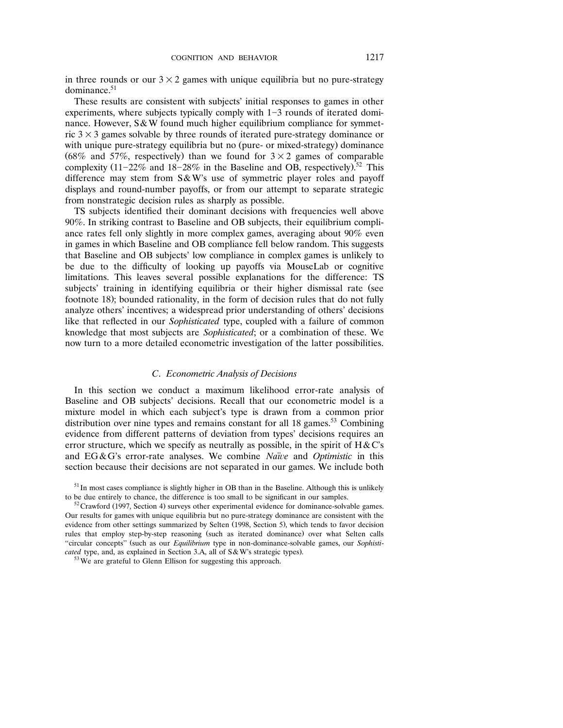in three rounds or our  $3 \times 2$  games with unique equilibria but no pure-strategy dominance.<sup>51</sup>

These results are consistent with subjects' initial responses to games in other experiments, where subjects typically comply with  $1-3$  rounds of iterated dominance. However, S&W found much higher equilibrium compliance for symmetric  $3 \times 3$  games solvable by three rounds of iterated pure-strategy dominance or with unique pure-strategy equilibria but no (pure- or mixed-strategy) dominance (68% and 57%, respectively) than we found for  $3 \times 2$  games of comparable complexity  $(11-22\%$  and  $18-28\%$  in the Baseline and OB, respectively).<sup>52</sup> This difference may stem from S&W's use of symmetric player roles and payoff displays and round-number payoffs, or from our attempt to separate strategic from nonstrategic decision rules as sharply as possible.

TS subjects identified their dominant decisions with frequencies well above 90%. In striking contrast to Baseline and OB subjects, their equilibrium compliance rates fell only slightly in more complex games, averaging about 90% even in games in which Baseline and OB compliance fell below random. This suggests that Baseline and OB subjects' low compliance in complex games is unlikely to be due to the difficulty of looking up payoffs via MouseLab or cognitive limitations. This leaves several possible explanations for the difference: TS subjects' training in identifying equilibria or their higher dismissal rate (see footnote 18); bounded rationality, in the form of decision rules that do not fully analyze others' incentives; a widespread prior understanding of others' decisions like that reflected in our *Sophisticated* type, coupled with a failure of common knowledge that most subjects are *Sophisticated*; or a combination of these. We now turn to a more detailed econometric investigation of the latter possibilities.

### *C*. *Econometric Analysis of Decisions*

In this section we conduct a maximum likelihood error-rate analysis of Baseline and OB subjects' decisions. Recall that our econometric model is a mixture model in which each subject's type is drawn from a common prior distribution over nine types and remains constant for all  $18$  games.<sup>53</sup> Combining evidence from different patterns of deviation from types' decisions requires an error structure, which we specify as neutrally as possible, in the spirit of  $H\&C$ 's and EG&G's error-rate analyses. We combine *Naïve* and *Optimistic* in this section because their decisions are not separated in our games. We include both

 $<sup>51</sup>$  In most cases compliance is slightly higher in OB than in the Baseline. Although this is unlikely</sup> to be due entirely to chance, the difference is too small to be significant in our samples.  $52$  Crawford (1997, Section 4) surveys other experimental evidence for dominance-solvable games.

Our results for games with unique equilibria but no pure-strategy dominance are consistent with the evidence from other settings summarized by Selten (1998, Section 5), which tends to favor decision rules that employ step-by-step reasoning (such as iterated dominance) over what Selten calls "circular concepts" (such as our *Equilibrium* type in non-dominance-solvable games, our *Sophisticated* type, and, as explained in Section 3.A, all of S&W's strategic types).

<sup>&</sup>lt;sup>53</sup> We are grateful to Glenn Ellison for suggesting this approach.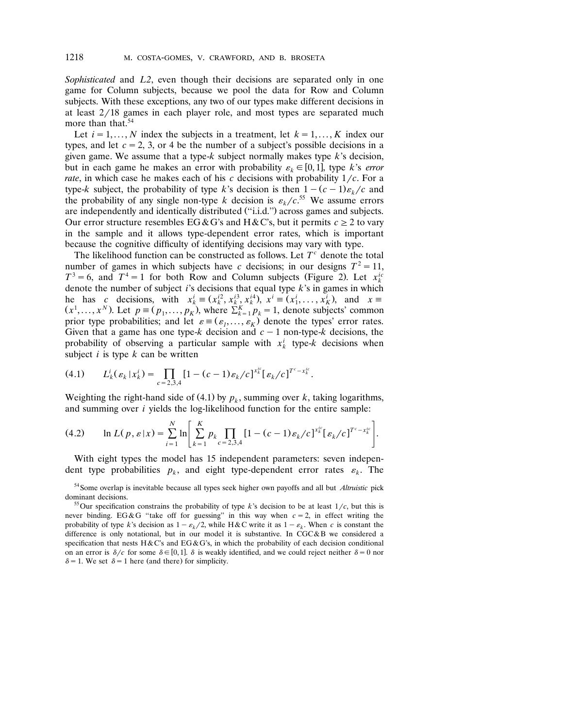*Sophisticated* and *L2*, even though their decisions are separated only in one game for Column subjects, because we pool the data for Row and Column subjects. With these exceptions, any two of our types make different decisions in at least 2/18 games in each player role, and most types are separated much more than that.<sup>54</sup>

Let  $i = 1, ..., N$  index the subjects in a treatment, let  $k = 1, ..., K$  index our types, and let  $c = 2$ , 3, or 4 be the number of a subject's possible decisions in a given game. We assume that a type-*k* subject normally makes type *k*'s decision, but in each game he makes an error with probability  $\varepsilon_k \in [0,1]$ , type *k*'s *error rate*, in which case he makes each of his *c* decisions with probability  $1/c$ . For a type-*k* subject, the probability of type *k*'s decision is then  $1 - (c - 1)\varepsilon_k/c$  and the probability of any single non-type *k* decision is  $\varepsilon_k/c$ .<sup>55</sup> We assume errors are independently and identically distributed ("i.i.d.") across games and subjects. Our error structure resembles  $EG & G's$  and  $H & C's$ , but it permits  $c \geq 2$  to vary in the sample and it allows type-dependent error rates, which is important because the cognitive difficulty of identifying decisions may vary with type.

The likelihood function can be constructed as follows. Let  $T^c$  denote the total number of games in which subjects have *c* decisions; in our designs  $T^2 = 11$ ,  $T^3 = 6$ , and  $T^4 = 1$  for both Row and Column subjects (Figure 2). Let  $x_k^{ic}$ denote the number of subject *i*'s decisions that equal type *k*'s in games in which *i*<sub>k</sub>  $i = (x_k^{i2}, x_k^{i3}, x_k^{i4})$ ,  $x^i = (x_1^{i1}, \ldots, x_k^{i})$ , and  $x =$  $(x^1, \ldots, x^N)$ . Let  $p \equiv (p_1, \ldots, p_K)$ , where  $\sum_{k=1}^{K} p_k = 1$ , denote subjects' common prior type probabilities; and let  $\varepsilon \equiv (\varepsilon_1, \ldots, \varepsilon_k)$  denote the types' error rates. Given that a game has one type- $k$  decision and  $c-1$  non-type- $k$  decisions, the probability of observing a particular sample with  $x_k^i$  type- $k$  decisions when subject *i* is type *k* can be written

$$
(4.1) \qquad L_k^i(\varepsilon_k \, | \, x_k^i) = \prod_{c=2,3,4} [1 - (c-1) \varepsilon_k / c]^{x_k^{ic}} [\varepsilon_k / c]^{T^c - x_k^{ic}}.
$$

Weighting the right-hand side of (4.1) by  $p_k$ , summing over *k*, taking logarithms, and summing over *i* yields the log-likelihood function for the entire sample:

(4.2) 
$$
\ln L(p, \varepsilon | x) = \sum_{i=1}^{N} \ln \left[ \sum_{k=1}^{K} p_k \prod_{c=2,3,4} [1 - (c-1) \varepsilon_k / c]^{x_k^{ic}} [\varepsilon_k / c]^{T^c - x_k^{ic}} \right].
$$

With eight types the model has 15 independent parameters: seven independent type probabilities  $p_k$ , and eight type-dependent error rates  $\varepsilon_k$ . The

<sup>&</sup>lt;sup>54</sup>Some overlap is inevitable because all types seek higher own payoffs and all but *Altruistic* pick dominant decisions.

dominant decisions.<br><sup>55</sup>Our specification constrains the probability of type *k*'s decision to be at least  $1/c$ , but this is never binding. EG&G "take off for guessing" in this way when  $c = 2$ , in effect writing the probability of type k's decision as  $1 - \varepsilon_k/2$ , while H&C write it as  $1 - \varepsilon_k$ . When c is constant the difference is only notational, but in our model it is substantive. In CGC&B we considered a specification that nests  $H\&C$ 's and  $EG\&G$ 's, in which the probability of each decision conditional on an error is  $\delta/c$  for some  $\delta \in [0, 1]$ .  $\delta$  is weakly identified, and we could reject neither  $\delta = 0$  nor  $\delta = 1$ . We set  $\delta = 1$  here (and there) for simplicity.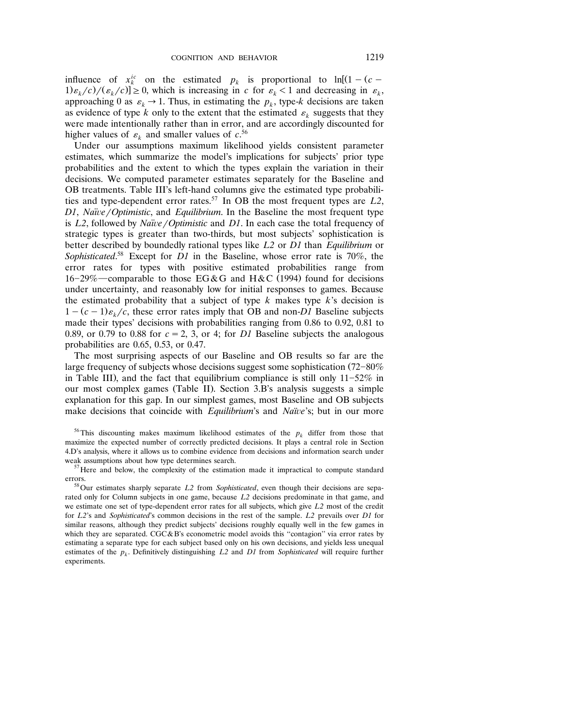*influence* of  $x_k^{ic}$  on the estimated  $p_k$  is proportional to ln  $[(1 - (c (1) \varepsilon_k/c$ / $(\varepsilon_k/c)$  $(\varepsilon_k/c)$  $\geq$  0, which is increasing in *c* for  $\varepsilon_k$  < 1 and decreasing in  $\varepsilon_k$ , approaching 0 as  $\varepsilon_k \to 1$ . Thus, in estimating the  $p_k$ , type- $k$  decisions are taken as evidence of type  $k$  only to the extent that the estimated  $\varepsilon_k$  suggests that they were made intentionally rather than in error, and are accordingly discounted for higher values of  $\varepsilon_k$  and smaller values of  $c^{56}$ .

Under our assumptions maximum likelihood yields consistent parameter estimates, which summarize the model's implications for subjects' prior type probabilities and the extent to which the types explain the variation in their decisions. We computed parameter estimates separately for the Baseline and OB treatments. Table III's left-hand columns give the estimated type probabilities and type-dependent error rates.<sup>57</sup> In OB the most frequent types are  $L2$ , *D1*, *Na*¨*ıe*-*Optimistic*, and *Equilibrium*. In the Baseline the most frequent type is *L2*, followed by *Naïve* / Optimistic and *D1*. In each case the total frequency of strategic types is greater than two-thirds, but most subjects' sophistication is better described by boundedly rational types like *L2* or *D1* than *Equilibrium* or *Sophisticated*. <sup>58</sup> Except for *D1* in the Baseline, whose error rate is 70%, the error rates for types with positive estimated probabilities range from 16-29%—comparable to those EG&G and H&C (1994) found for decisions under uncertainty, and reasonably low for initial responses to games. Because the estimated probability that a subject of type  $k$  makes type  $k$ 's decision is  $1 - (c - 1)\varepsilon_k/c$ , these error rates imply that OB and non-*D1* Baseline subjects made their types' decisions with probabilities ranging from 0.86 to 0.92, 0.81 to 0.89, or 0.79 to 0.88 for  $c = 2$ , 3, or 4; for *D1* Baseline subjects the analogous probabilities are 0.65, 0.53, or 0.47.

The most surprising aspects of our Baseline and OB results so far are the large frequency of subjects whose decisions suggest some sophistication  $(72-80\%$ in Table III), and the fact that equilibrium compliance is still only  $11-52\%$  in our most complex games (Table II). Section 3.B's analysis suggests a simple explanation for this gap. In our simplest games, most Baseline and OB subjects make decisions that coincide with *Equilibrium*'s and *Naïve*'s; but in our more

<sup>56</sup>This discounting makes maximum likelihood estimates of the  $p_k$  differ from those that maximize the expected number of correctly predicted decisions. It plays a central role in Section 4.D's analysis, where it allows us to combine evidence from decisions and information search under weak assumptions about how type determines search.<br><sup>57</sup>Here and below, the complexity of the estimation made it impractical to compute standard

errors. 58Our estimates sharply separate *L2* from *Sophisticated*, even though their decisions are separated only for Column subjects in one game, because *L2* decisions predominate in that game, and we estimate one set of type-dependent error rates for all subjects, which give *L2* most of the credit for *L2*'s and *Sophisticated*'s common decisions in the rest of the sample. *L2* prevails over *D1* for similar reasons, although they predict subjects' decisions roughly equally well in the few games in which they are separated. CGC&B's econometric model avoids this "contagion" via error rates by estimating a separate type for each subject based only on his own decisions, and yields less unequal estimates of the  $p_k$ . Definitively distinguishing *L2* and *D1* from *Sophisticated* will require further experiments.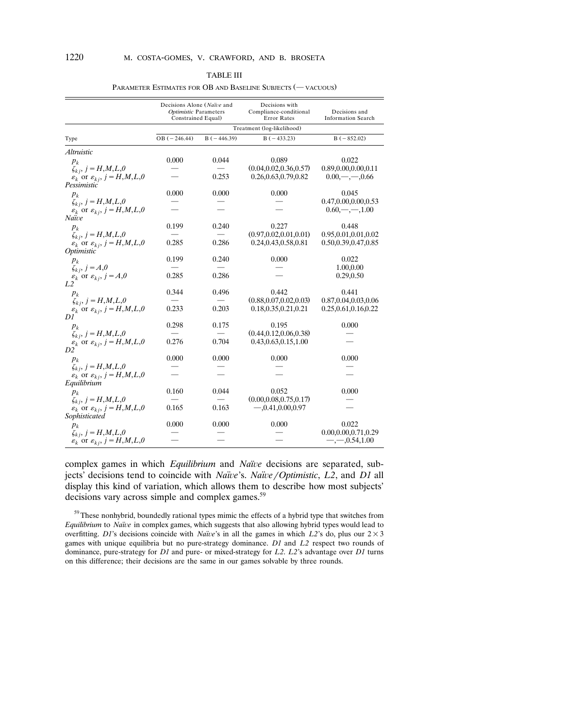|                                                                | Decisions Alone (Naïve and<br>Optimistic Parameters<br>Constrained Equal) |              | Decisions with<br>Compliance-conditional<br>Error Rates | Decisions and<br><b>Information Search</b> |
|----------------------------------------------------------------|---------------------------------------------------------------------------|--------------|---------------------------------------------------------|--------------------------------------------|
|                                                                |                                                                           |              | Treatment (log-likelihood)                              |                                            |
| Type                                                           | $OB (-246.44)$                                                            | $B(-446.39)$ | $B(-433.23)$                                            | $B(-852.02)$                               |
| Altruistic                                                     |                                                                           |              |                                                         |                                            |
| $p_k$                                                          | 0.000                                                                     | 0.044        | 0.089                                                   | 0.022                                      |
| $\zeta_{ki}$ , j = H,M,L,0                                     |                                                                           |              | (0.04, 0.02, 0.36, 0.57)                                | 0.89, 0.00, 0.00, 0.11                     |
| $\varepsilon_k$ or $\varepsilon_{kj}$ , $j = H, M, L, 0$       |                                                                           | 0.253        | 0.26, 0.63, 0.79, 0.82                                  | $0.00, -,-,0.66$                           |
| Pessimistic                                                    |                                                                           |              |                                                         |                                            |
| $p_k$                                                          | 0.000                                                                     | 0.000        | 0.000                                                   | 0.045                                      |
| $\zeta_{kj}, j = H, M, L, 0$                                   |                                                                           |              |                                                         | 0.47,0.00,0.00,0.53                        |
| $\varepsilon_k$ or $\varepsilon_{kj}$ , $j = H, M, L, 0$       |                                                                           |              |                                                         | $0.60, -,-,1.00$                           |
| Naïve                                                          |                                                                           |              |                                                         |                                            |
| $p_k$                                                          | 0.199                                                                     | 0.240        | 0.227                                                   | 0.448                                      |
| $\zeta_{ki}, j = H, M, L, 0$                                   |                                                                           |              | (0.97, 0.02, 0.01, 0.01)                                | 0.95, 0.01, 0.01, 0.02                     |
| $\varepsilon_k$ or $\varepsilon_{kj}$ , $j = H, M, L, 0$       | 0.285                                                                     | 0.286        | 0.24, 0.43, 0.58, 0.81                                  | 0.50,0.39,0.47,0.85                        |
| Optimistic                                                     |                                                                           |              |                                                         |                                            |
| $p_k$                                                          | 0.199                                                                     | 0.240        | 0.000                                                   | 0.022                                      |
| $\zeta_{ki}$ , $j = A, 0$                                      |                                                                           |              |                                                         | 1.00,0.00                                  |
| $\varepsilon_k$ or $\varepsilon_{kj}$ , $j = A, 0$             | 0.285                                                                     | 0.286        |                                                         | 0.29,0.50                                  |
| L2                                                             |                                                                           |              |                                                         |                                            |
| $p_k$                                                          | 0.344                                                                     | 0.496        | 0.442                                                   | 0.441                                      |
| $\zeta_{ki}$ , j = H,M,L,0                                     | 0.233                                                                     |              | (0.88, 0.07, 0.02, 0.03)                                | 0.87, 0.04, 0.03, 0.06                     |
| $\varepsilon_k$ or $\varepsilon_{kj}$ , $j = H, M, L, 0$<br>D1 |                                                                           | 0.203        | 0.18, 0.35, 0.21, 0.21                                  | 0.25, 0.61, 0.16, 0.22                     |
|                                                                | 0.298                                                                     | 0.175        | 0.195                                                   | 0.000                                      |
| $p_k$<br>$\zeta_{kj}, j = H, M, L, 0$                          |                                                                           |              | (0.44, 0.12, 0.06, 0.38)                                |                                            |
| $\varepsilon_k$ or $\varepsilon_{k,j}$ , $j = H, M, L, 0$      | 0.276                                                                     | 0.704        | 0.43, 0.63, 0.15, 1.00                                  |                                            |
| D2                                                             |                                                                           |              |                                                         |                                            |
| $p_k$                                                          | 0.000                                                                     | 0.000        | 0.000                                                   | 0.000                                      |
| $\zeta_{ki}$ , j = H,M,L,0                                     |                                                                           |              |                                                         |                                            |
| $\varepsilon_k$ or $\varepsilon_{kj}$ , $j = H, M, L, 0$       |                                                                           |              |                                                         |                                            |
| Equilibrium                                                    |                                                                           |              |                                                         |                                            |
| $p_k$                                                          | 0.160                                                                     | 0.044        | 0.052                                                   | 0.000                                      |
| $\zeta_{kj}, j = H, M, L, 0$                                   |                                                                           |              | (0.00, 0.08, 0.75, 0.17)                                |                                            |
| $\varepsilon_k$ or $\varepsilon_{kj}$ , $j = H, M, L, 0$       | 0.165                                                                     | 0.163        | $-.0.41, 0.00, 0.97$                                    |                                            |
| Sophisticated                                                  |                                                                           |              |                                                         |                                            |
| $p_k$                                                          | 0.000                                                                     | 0.000        | 0.000                                                   | 0.022                                      |
| $\zeta_{ki}$ , j = H,M,L,0                                     |                                                                           |              |                                                         | 0.00,0.00,0.71,0.29                        |
| $\varepsilon_k$ or $\varepsilon_{k,j}$ , $j = H, M, L, 0$      |                                                                           |              |                                                         | $-,-,0.54,1.00$                            |

# TABLE III PARAMETER ESTIMATES FOR OB AND BASELINE SUBJECTS (— VACUOUS)

complex games in which *Equilibrium* and *Naïve* decisions are separated, subjects' decisions tend to coincide with *Naïve's. Naïve/Optimistic*, *L*2, and *D1* all display this kind of variation, which allows them to describe how most subjects' decisions vary across simple and complex games.<sup>59</sup>

<sup>&</sup>lt;sup>59</sup>These nonhybrid, boundedly rational types mimic the effects of a hybrid type that switches from *Equilibrium* to *Naïve* in complex games, which suggests that also allowing hybrid types would lead to overfitting. *D1*'s decisions coincide with *Naïve*'s in all the games in which  $L2$ 's do, plus our  $2 \times 3$ games with unique equilibria but no pure-strategy dominance. *D1* and *L2* respect two rounds of dominance, pure-strategy for *D1* and pure- or mixed-strategy for *L2*. *L2*'s advantage over *D1* turns on this difference; their decisions are the same in our games solvable by three rounds.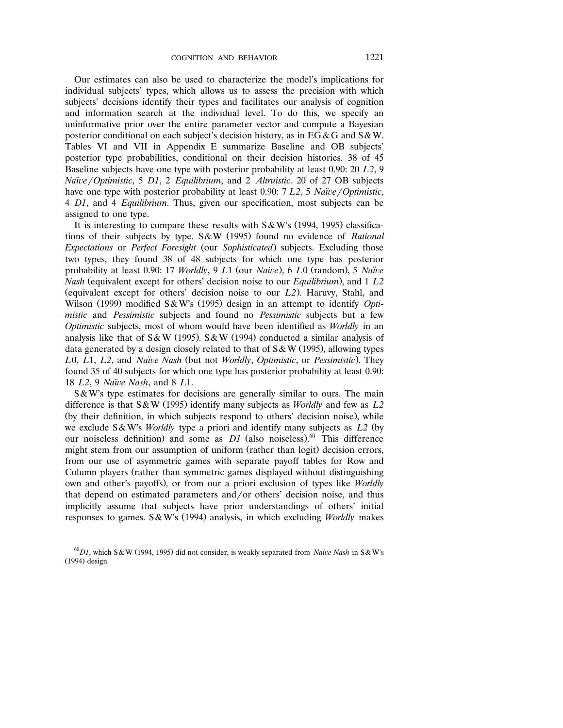Our estimates can also be used to characterize the model's implications for individual subjects' types, which allows us to assess the precision with which subjects' decisions identify their types and facilitates our analysis of cognition and information search at the individual level. To do this, we specify an uninformative prior over the entire parameter vector and compute a Bayesian posterior conditional on each subject's decision history, as in EG&G and S&W. Tables VI and VII in Appendix E summarize Baseline and OB subjects' posterior type probabilities, conditional on their decision histories. 38 of 45 Baseline subjects have one type with posterior probability at least 0.90: 20 *L2*, 9 *Na*¨*ıe*-*Optimistic*, 5 *D1*, 2 *Equilibrium*, and 2 *Altruistic*. 20 of 27 OB subjects have one type with posterior probability at least 0.90: 7 *L2*, 5 *Naïve*/Optimistic, 4 *D1*, and 4 *Equilibrium*. Thus, given our specification, most subjects can be assigned to one type.

It is interesting to compare these results with  $S\&W$ 's (1994, 1995) classifications of their subjects by type. S&W (1995) found no evidence of Rational *Expectations* or *Perfect Foresight* (our *Sophisticated*) subjects. Excluding those two types, they found 38 of 48 subjects for which one type has posterior probability at least 0.90: 17 *Worldly*, 9 *L*1 (our *Naive*), 6 *L0* (random), 5 *Naïve Nash* (equivalent except for others' decision noise to our *Equilibrium*), and 1 *L2* (equivalent except for others' decision noise to our *L2*). Haruvy, Stahl, and Wilson (1999) modified  $S\&W$ 's (1995) design in an attempt to identify *Optimistic* and *Pessimistic* subjects and found no *Pessimistic* subjects but a few *Optimistic* subjects, most of whom would have been identified as *Worldly* in an analysis like that of S&W (1995). S&W (1994) conducted a similar analysis of data generated by a design closely related to that of  $S&W$  (1995), allowing types *L*0, *L*1, *L2*, and *Naïve Nash* (but not *Worldly*, *Optimistic*, or *Pessimistic*). They found 35 of 40 subjects for which one type has posterior probability at least 0.90: 18 *L2*, 9 *Na*¨*ıe Nash*, and 8 *L*1.

S&W's type estimates for decisions are generally similar to ours. The main difference is that  $S&W(1995)$  identify many subjects as *Worldly* and few as  $L2$ (by their definition, in which subjects respond to others' decision noise), while we exclude  $S\&W$ 's *Worldly* type a priori and identify many subjects as  $L2$  (by our noiseless definition) and some as  $DI$  (also noiseless). <sup>60</sup> This difference might stem from our assumption of uniform (rather than logit) decision errors, from our use of asymmetric games with separate payoff tables for Row and Column players (rather than symmetric games displayed without distinguishing own and other's payoffs), or from our a priori exclusion of types like *Worldly* that depend on estimated parameters and/or others' decision noise, and thus implicitly assume that subjects have prior understandings of others' initial responses to games. S & W's (1994) analysis, in which excluding *Worldly* makes

<sup>&</sup>lt;sup>60</sup>D1, which S&W (1994, 1995) did not consider, is weakly separated from *Naïve Nash* in S&W's (1994) design.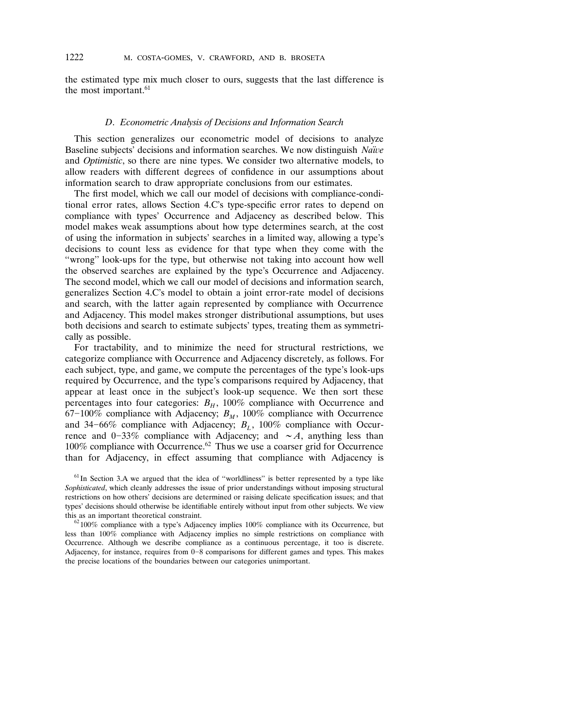the estimated type mix much closer to ours, suggests that the last difference is the most important.<sup>61</sup>

#### *D*. *Econometric Analysis of Decisions and Information Search*

This section generalizes our econometric model of decisions to analyze Baseline subjects' decisions and information searches. We now distinguish *Naïve* and *Optimistic*, so there are nine types. We consider two alternative models, to allow readers with different degrees of confidence in our assumptions about information search to draw appropriate conclusions from our estimates.

The first model, which we call our model of decisions with compliance-conditional error rates, allows Section 4.C's type-specific error rates to depend on compliance with types' Occurrence and Adjacency as described below. This model makes weak assumptions about how type determines search, at the cost of using the information in subjects' searches in a limited way, allowing a type's decisions to count less as evidence for that type when they come with the ''wrong'' look-ups for the type, but otherwise not taking into account how well the observed searches are explained by the type's Occurrence and Adjacency. The second model, which we call our model of decisions and information search, generalizes Section 4.C's model to obtain a joint error-rate model of decisions and search, with the latter again represented by compliance with Occurrence and Adjacency. This model makes stronger distributional assumptions, but uses both decisions and search to estimate subjects' types, treating them as symmetrically as possible.

For tractability, and to minimize the need for structural restrictions, we categorize compliance with Occurrence and Adjacency discretely, as follows. For each subject, type, and game, we compute the percentages of the type's look-ups required by Occurrence, and the type's comparisons required by Adjacency, that appear at least once in the subject's look-up sequence. We then sort these percentages into four categories:  $B_H$ , 100% compliance with Occurrence and 67-100% compliance with Adjacency;  $B_M$ , 100% compliance with Occurrence and 34-66% compliance with Adjacency;  $B_L$ , 100% compliance with Occurrence and  $0-33\%$  compliance with Adjacency; and  $\sim A$ , anything less than  $100\%$  compliance with Occurrence.<sup>62</sup> Thus we use a coarser grid for Occurrence than for Adjacency, in effect assuming that compliance with Adjacency is

<sup>&</sup>lt;sup>61</sup> In Section 3.A we argued that the idea of "worldliness" is better represented by a type like *Sophisticated*, which cleanly addresses the issue of prior understandings without imposing structural restrictions on how others' decisions are determined or raising delicate specification issues; and that types' decisions should otherwise be identifiable entirely without input from other subjects. We view

 $62100\%$  compliance with a type's Adjacency implies 100% compliance with its Occurrence, but less than 100% compliance with Adjacency implies no simple restrictions on compliance with Occurrence. Although we describe compliance as a continuous percentage, it too is discrete. Adjacency, for instance, requires from  $0-8$  comparisons for different games and types. This makes the precise locations of the boundaries between our categories unimportant.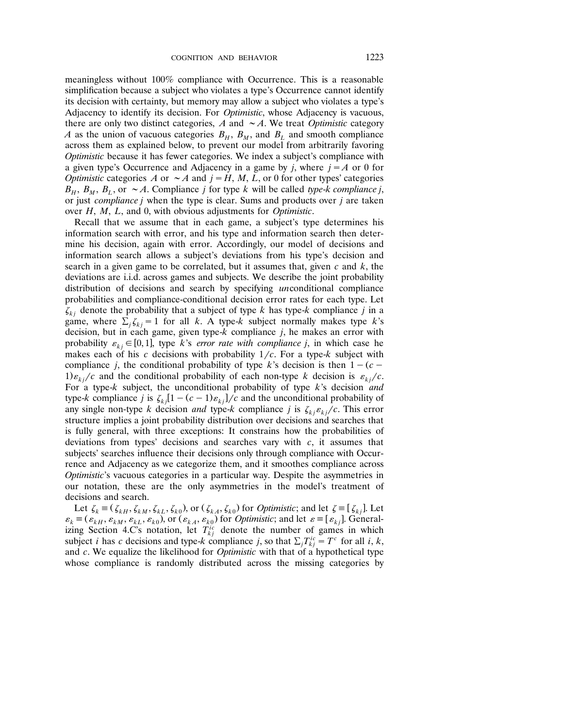meaningless without 100% compliance with Occurrence. This is a reasonable simplification because a subject who violates a type's Occurrence cannot identify its decision with certainty, but memory may allow a subject who violates a type's Adjacency to identify its decision. For *Optimistic*, whose Adjacency is vacuous, there are only two distinct categories,  $A$  and  $\sim A$ . We treat *Optimistic* category *A* as the union of vacuous categories  $B_H$ ,  $B_M$ , and  $B_L$  and smooth compliance across them as explained below, to prevent our model from arbitrarily favoring *Optimistic* because it has fewer categories. We index a subject's compliance with a given type's Occurrence and Adjacency in a game by *j*, where  $j = A$  or 0 for *Optimistic* categories *A* or  $\sim$  *A* and *j* = *H*, *M*, *L*, or 0 for other types' categories  $B_H$ ,  $B_M$ ,  $B_L$ , or  $\sim A$ . Compliance *j* for type *k* will be called *type-k compliance j*, or just *compliance j* when the type is clear. Sums and products over *j* are taken over *H*, *M*, *L*, and 0, with obvious adjustments for *Optimistic*.

Recall that we assume that in each game, a subject's type determines his information search with error, and his type and information search then determine his decision, again with error. Accordingly, our model of decisions and information search allows a subject's deviations from his type's decision and search in a given game to be correlated, but it assumes that, given *c* and *k*, the deviations are i.i.d. across games and subjects. We describe the joint probability distribution of decisions and search by specifying *un*conditional compliance probabilities and compliance-conditional decision error rates for each type. Let  $\zeta_{ki}$  denote the probability that a subject of type *k* has type-*k* compliance *j* in a game, where  $\sum_i \zeta_{ki} = 1$  for all *k*. A type-*k* subject normally makes type *k*'s decision, but in each game, given type-*k* compliance *j*, he makes an error with probability  $\varepsilon_{kj} \in [0, 1]$ , type *k*'s *error rate with compliance j*, in which case he makes each of his  $c$  decisions with probability  $1/c$ . For a type- $k$  subject with compliance *j*, the conditional probability of type *k*'s decision is then  $1 - (c 1\epsilon_{kj}/c$  and the conditional probability of each non-type *k* decision is  $\varepsilon_{kj}/c$ . For a type-*k* subject, the unconditional probability of type *k*'s decision *and* type-*k* compliance *j* is  $\zeta_{kj} [1 - (c - 1)\varepsilon_{kj}] / c$  and the unconditional probability of any single non-type *k* decision *and* type-*k* compliance *j* is  $\zeta_{kj} \epsilon_{kj}/c$ . This error structure implies a joint probability distribution over decisions and searches that is fully general, with three exceptions: It constrains how the probabilities of deviations from types' decisions and searches vary with *c*, it assumes that subjects' searches influence their decisions only through compliance with Occurrence and Adjacency as we categorize them, and it smoothes compliance across *Optimistic*'s vacuous categories in a particular way. Despite the asymmetries in our notation, these are the only asymmetries in the model's treatment of decisions and search.

Let  $\zeta_k = (\zeta_{kH}, \zeta_{kM}, \zeta_{kL}, \zeta_{k0})$ , or  $(\zeta_{kA}, \zeta_{k0})$  for *Optimistic*; and let  $\zeta = [\zeta_{kj}]$ . Let  $\varepsilon_k \equiv (\varepsilon_{kH}, \varepsilon_{kM}, \varepsilon_{kL}, \varepsilon_{k0})$ , or  $(\varepsilon_{kA}, \varepsilon_{k0})$  for *Optimistic*; and let  $\varepsilon \equiv [\varepsilon_{k,j}]$ . Generalizing Section 4.C's notation, let  $T_{kj}^{ic}$  denote the number of games in which subject *i* has *c* decisions and type-*k* compliance *j*, so that  $\sum_{i} T_{ki}^{ic} = T^c$  for all *i*, *k*, and *c*. We equalize the likelihood for *Optimistic* with that of a hypothetical type whose compliance is randomly distributed across the missing categories by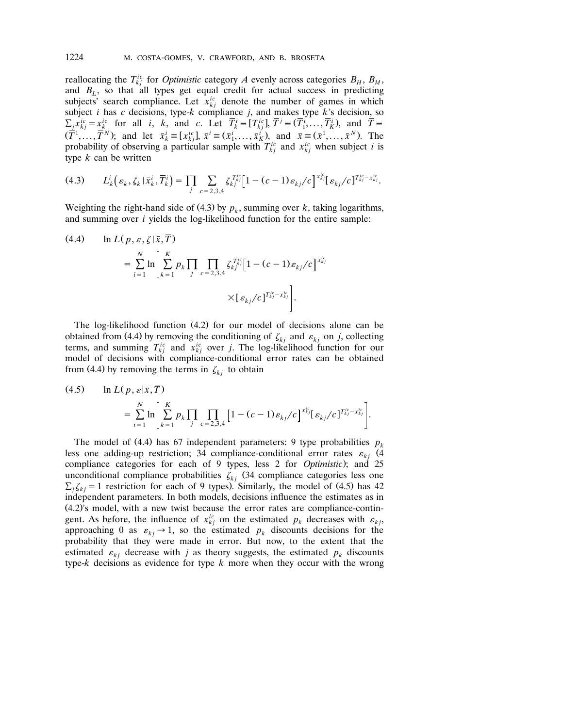reallocating the  $T_{ki}^{ic}$  for *Optimistic* category *A* evenly across categories  $B_H$ ,  $B_M$ , and  $B_L$ , so that all types get equal credit for actual success in predicting subjects' search compliance. Let  $x_{kj}^{ic}$  denote the number of games in which subject *i* has *c* decisions, type- $k$  compliance  $j$ , and makes type  $k$ 's decision, so  $\sum_i x_{ki}^{ic} = x_k^{ic}$  for all *i*, *k*, and *c*. Let  $\overline{T}_k^i \equiv [T_{ki}^{ic}], \overline{T}^j \equiv (\overline{T}_1^i, \ldots, \overline{T}_K^i)$ , and  $\overline{T} \equiv$  $(\bar{T}^1, \ldots, \bar{T}^N)$ ; and let  $\bar{x}_k^i \equiv [x_{kj}^{ic}]$ ,  $\bar{x}^i \equiv (\bar{x}_1^i, \ldots, \bar{x}_k^i)$ , and  $\bar{x} \equiv (\bar{x}^1, \ldots, \bar{x}^N)$ . The probability of observing a particular sample with  $T_{kj}^{ic}$  and  $x_{kj}^{ic}$  when subject *i* is type *k* can be written

$$
(4.3) \qquad L_k^i\big(\varepsilon_k, \zeta_k \,|\, \bar{x}_k^i, \overline{T}_k^i\big) = \prod_j \sum_{c=2,3,4} \zeta_{kj}^{T_{kj}^{ic}} \big[1 - (c-1)\varepsilon_{kj}/c\big]^{x_{kj}^{ic}} \big[\varepsilon_{kj}/c\big]^{T_{kj}^{ic} - x_{kj}^{ic}}.
$$

Weighting the right-hand side of (4.3) by  $p_k$ , summing over  $k$ , taking logarithms, and summing over *i* yields the log-likelihood function for the entire sample:

(4.4) 
$$
\ln L(p, \varepsilon, \zeta | \bar{x}, \bar{T})
$$
  
=  $\sum_{i=1}^{N} \ln \left[ \sum_{k=1}^{K} p_k \prod_{j} \prod_{c=2,3,4} \zeta_{kj}^{T_{kj}^{ic}} \left[ 1 - (c-1) \varepsilon_{kj} / c \right]^{x_{kj}^{ic}}$   

$$
\times [\varepsilon_{kj} / c]^{T_{kj}^{ic} - x_{kj}^{ic}}.
$$

The log-likelihood function  $(4.2)$  for our model of decisions alone can be obtained from (4.4) by removing the conditioning of  $\zeta_{ki}$  and  $\varepsilon_{ki}$  on *j*, collecting terms, and summing  $T_{ki}^{ic}$  and  $x_{ki}^{ic}$  over *j*. The log-likelihood function for our model of decisions with compliance-conditional error rates can be obtained from (4.4) by removing the terms in  $\zeta_{ki}$  to obtain

(4.5) 
$$
\ln L(p, \varepsilon | \bar{x}, \bar{T}) = \sum_{i=1}^{N} \ln \left[ \sum_{k=1}^{K} p_k \prod_{j} \prod_{c=2,3,4} \left[ 1 - (c-1) \varepsilon_{kj} / c \right]^{x_{kj}^{ic}} \left[ \varepsilon_{kj} / c \right]^{T_{kj}^{ic} - x_{kj}^{ic}} \right].
$$

The model of (4.4) has 67 independent parameters: 9 type probabilities  $p_k$ less one adding-up restriction; 34 compliance-conditional error rates  $\varepsilon_{kj}$  (4 compliance categories for each of 9 types, less 2 for *Optimistic*.; and 25 unconditional compliance probabilities  $\zeta_{kj}$  (34 compliance categories less one  $\sum_j \zeta_{kj} = 1$  restriction for each of 9 types). Similarly, the model of (4.5) has 42 independent parameters. In both models, decisions influence the estimates as in  $(4.2)$ 's model, with a new twist because the error rates are compliance-contingent. As before, the influence of  $x_{ki}^{ic}$  on the estimated  $p_k$  decreases with  $\varepsilon_{kj}$ , approaching 0 as  $\varepsilon_{ki} \rightarrow 1$ , so the estimated  $p_k$  discounts decisions for the probability that they were made in error. But now, to the extent that the estimated  $\varepsilon_{ki}$  decrease with *j* as theory suggests, the estimated  $p_k$  discounts type-*k* decisions as evidence for type *k* more when they occur with the wrong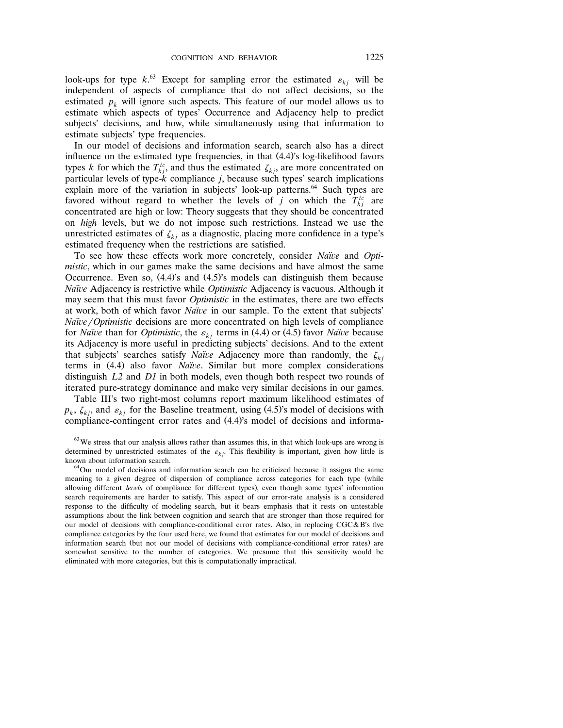look-ups for type  $k^{.63}$  Except for sampling error the estimated  $\varepsilon_{kj}$  will be independent of aspects of compliance that do not affect decisions, so the estimated  $p_k$  will ignore such aspects. This feature of our model allows us to estimate which aspects of types' Occurrence and Adjacency help to predict subjects' decisions, and how, while simultaneously using that information to estimate subjects' type frequencies.

In our model of decisions and information search, search also has a direct influence on the estimated type frequencies, in that  $(4.4)$ 's log-likelihood favors types *k* for which the  $T_{kj}^{ic}$ , and thus the estimated  $\zeta_{kj}$ , are more concentrated on particular levels of type-*k* compliance *j*, because such types' search implications explain more of the variation in subjects' look-up patterns.<sup>64</sup> Such types are favored without regard to whether the levels of *j* on which the  $T_{ki}^{ic}$  are concentrated are high or low: Theory suggests that they should be concentrated on *high* levels, but we do not impose such restrictions. Instead we use the unrestricted estimates of  $\zeta_{ki}$  as a diagnostic, placing more confidence in a type's estimated frequency when the restrictions are satisfied.

To see how these effects work more concretely, consider *Na*¨*ıe* and *Optimistic*, which in our games make the same decisions and have almost the same Occurrence. Even so,  $(4.4)$ 's and  $(4.5)$ 's models can distinguish them because *Naïve* Adjacency is restrictive while *Optimistic* Adjacency is vacuous. Although it may seem that this must favor *Optimistic* in the estimates, there are two effects at work, both of which favor *Naïve* in our sample. To the extent that subjects' Naïve/Optimistic decisions are more concentrated on high levels of compliance for *Naïve* than for *Optimistic*, the  $\varepsilon_{ki}$  terms in (4.4) or (4.5) favor *Naïve* because its Adjacency is more useful in predicting subjects' decisions. And to the extent that subjects' searches satisfy *Naïve* Adjacency more than randomly, the  $\zeta_{ki}$ terms in (4.4) also favor *Naïve*. Similar but more complex considerations distinguish *L2* and *D1* in both models, even though both respect two rounds of iterated pure-strategy dominance and make very similar decisions in our games.

Table III's two right-most columns report maximum likelihood estimates of  $p_k$ ,  $\zeta_{ki}$ , and  $\varepsilon_{ki}$  for the Baseline treatment, using (4.5)'s model of decisions with compliance-contingent error rates and  $(4.4)$ 's model of decisions and informa-

 $63$  We stress that our analysis allows rather than assumes this, in that which look-ups are wrong is determined by unrestricted estimates of the  $\varepsilon_{kj}$ . This flexibility is important, given how little is known about information search.

 $h^4$ Our model of decisions and information search can be criticized because it assigns the same meaning to a given degree of dispersion of compliance across categories for each type (while allowing different *levels* of compliance for different types), even though some types' information search requirements are harder to satisfy. This aspect of our error-rate analysis is a considered response to the difficulty of modeling search, but it bears emphasis that it rests on untestable assumptions about the link between cognition and search that are stronger than those required for our model of decisions with compliance-conditional error rates. Also, in replacing CGC&B's five compliance categories by the four used here, we found that estimates for our model of decisions and information search (but not our model of decisions with compliance-conditional error rates) are somewhat sensitive to the number of categories. We presume that this sensitivity would be eliminated with more categories, but this is computationally impractical.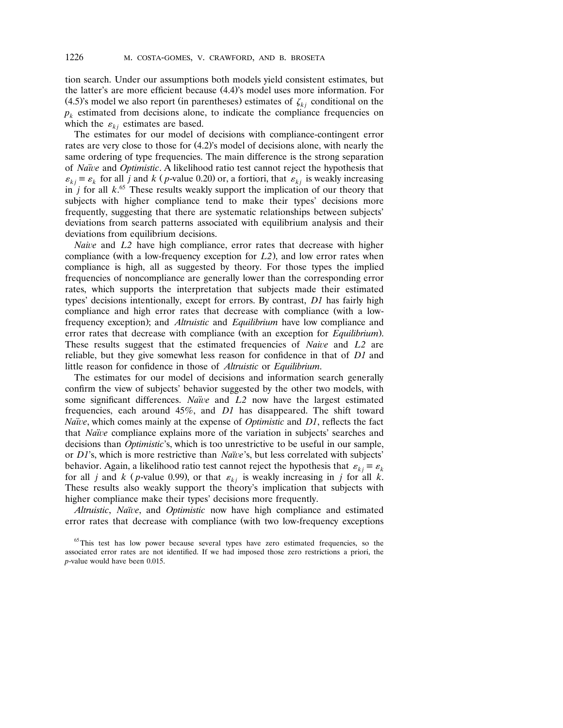tion search. Under our assumptions both models yield consistent estimates, but the latter's are more efficient because  $(4.4)$ 's model uses more information. For  $(4.5)$ 's model we also report (in parentheses) estimates of  $\zeta_{ki}$  conditional on the  $p_k$  estimated from decisions alone, to indicate the compliance frequencies on which the  $\varepsilon_{ki}$  estimates are based.

The estimates for our model of decisions with compliance-contingent error rates are very close to those for  $(4.2)$ 's model of decisions alone, with nearly the same ordering of type frequencies. The main difference is the strong separation of *Na*¨*ıe* and *Optimistic*. A likelihood ratio test cannot reject the hypothesis that  $\varepsilon_k \equiv \varepsilon_k$  for all *j* and *k* (*p*-value 0.20) or, a fortiori, that  $\varepsilon_k$  is weakly increasing in *j* for all *k*. <sup>65</sup> These results weakly support the implication of our theory that subjects with higher compliance tend to make their types' decisions more frequently, suggesting that there are systematic relationships between subjects' deviations from search patterns associated with equilibrium analysis and their deviations from equilibrium decisions.

*Naie* and *L2* have high compliance, error rates that decrease with higher compliance (with a low-frequency exception for  $L2$ ), and low error rates when compliance is high, all as suggested by theory. For those types the implied frequencies of noncompliance are generally lower than the corresponding error rates, which supports the interpretation that subjects made their estimated types' decisions intentionally, except for errors. By contrast, *D1* has fairly high compliance and high error rates that decrease with compliance (with a lowfrequency exception); and *Altruistic* and *Equilibrium* have low compliance and error rates that decrease with compliance (with an exception for *Equilibrium*). These results suggest that the estimated frequencies of *Naie* and *L2* are reliable, but they give somewhat less reason for confidence in that of *D1* and little reason for confidence in those of *Altruistic* or *Equilibrium*.

The estimates for our model of decisions and information search generally confirm the view of subjects' behavior suggested by the other two models, with some significant differences. *Naïve* and *L2* now have the largest estimated frequencies, each around 45%, and *D1* has disappeared. The shift toward *Naïve*, which comes mainly at the expense of *Optimistic* and *D1*, reflects the fact that *Naïve* compliance explains more of the variation in subjects' searches and decisions than *Optimistic*'s, which is too unrestrictive to be useful in our sample, or *D1*'s, which is more restrictive than *Naïve*'s, but less correlated with subjects' behavior. Again, a likelihood ratio test cannot reject the hypothesis that  $\varepsilon_{ki} \equiv \varepsilon_k$ for all *j* and *k* (*p*-value 0.99), or that  $\varepsilon_{ki}$  is weakly increasing in *j* for all *k*. These results also weakly support the theory's implication that subjects with higher compliance make their types' decisions more frequently.

*Altruistic*, *Na*¨*ıe*, and *Optimistic* now have high compliance and estimated error rates that decrease with compliance (with two low-frequency exceptions

 $65$ This test has low power because several types have zero estimated frequencies, so the associated error rates are not identified. If we had imposed those zero restrictions a priori, the *p*-value would have been 0.015.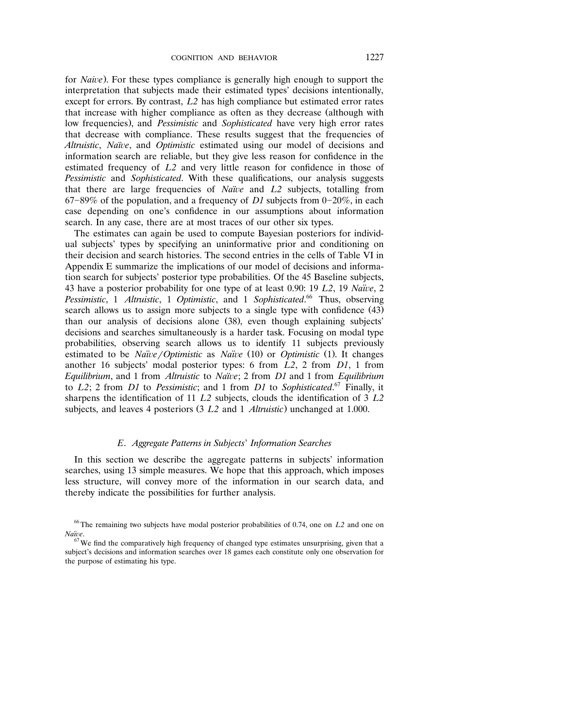for *Naie*.. For these types compliance is generally high enough to support the interpretation that subjects made their estimated types' decisions intentionally, except for errors. By contrast, *L2* has high compliance but estimated error rates that increase with higher compliance as often as they decrease (although with low frequencies), and *Pessimistic* and *Sophisticated* have very high error rates that decrease with compliance. These results suggest that the frequencies of *Altruistic*, *Na*¨*ıe*, and *Optimistic* estimated using our model of decisions and information search are reliable, but they give less reason for confidence in the estimated frequency of *L2* and very little reason for confidence in those of *Pessimistic* and *Sophisticated*. With these qualifications, our analysis suggests that there are large frequencies of *Na*¨*ıe* and *L2* subjects, totalling from 67-89% of the population, and a frequency of *D1* subjects from  $0-20\%$ , in each case depending on one's confidence in our assumptions about information search. In any case, there are at most traces of our other six types.

The estimates can again be used to compute Bayesian posteriors for individual subjects' types by specifying an uninformative prior and conditioning on their decision and search histories. The second entries in the cells of Table VI in Appendix E summarize the implications of our model of decisions and information search for subjects' posterior type probabilities. Of the 45 Baseline subjects, 43 have a posterior probability for one type of at least 0.90: 19 *L2*, 19 *Na*¨*ıe*, 2 *Pessimistic*, 1 *Altruistic*, 1 *Optimistic*, and 1 *Sophisticated*. <sup>66</sup> Thus, observing search allows us to assign more subjects to a single type with confidence  $(43)$ than our analysis of decisions alone (38), even though explaining subjects' decisions and searches simultaneously is a harder task. Focusing on modal type probabilities, observing search allows us to identify 11 subjects previously estimated to be *Naïve/Optimistic* as *Naïve* (10) or *Optimistic* (1). It changes another 16 subjects' modal posterior types: 6 from *L2*, 2 from *D1*, 1 from *Equilibrium*, and 1 from *Altruistic* to *Na*¨*ıe*; 2 from *D1* and 1 from *Equilibrium* to *L2*; 2 from *D1* to *Pessimistic*; and 1 from *D1* to *Sophisticated*. <sup>67</sup> Finally, it sharpens the identification of 11 *L2* subjects, clouds the identification of 3 *L2* subjects, and leaves 4 posteriors  $(3 L2$  and 1 *Altruistic*) unchanged at 1.000.

### *E*. *Aggregate Patterns in Subjects*' *Information Searches*

In this section we describe the aggregate patterns in subjects' information searches, using 13 simple measures. We hope that this approach, which imposes less structure, will convey more of the information in our search data, and thereby indicate the possibilities for further analysis.

 $66$ The remaining two subjects have modal posterior probabilities of 0.74, one on *L2* and one on *Naïve*.<br><sup>67</sup>We find the comparatively high frequency of changed type estimates unsurprising, given that a

subject's decisions and information searches over 18 games each constitute only one observation for the purpose of estimating his type.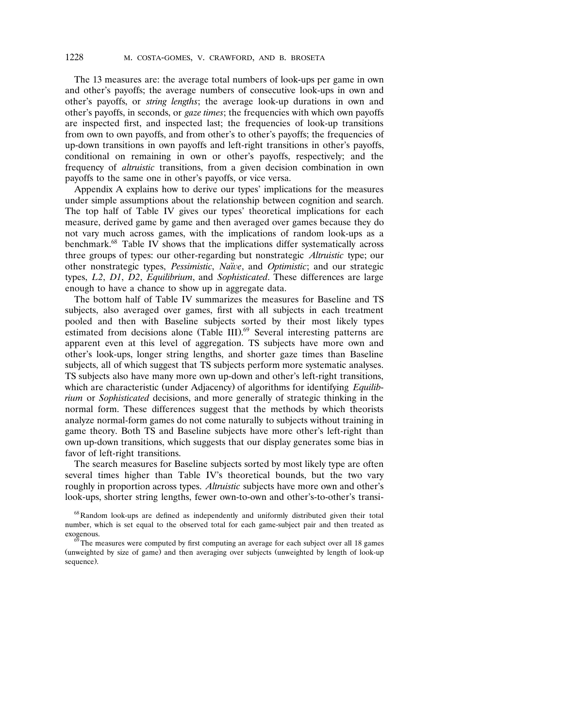The 13 measures are: the average total numbers of look-ups per game in own and other's payoffs; the average numbers of consecutive look-ups in own and other's payoffs, or *string lengths*; the average look-up durations in own and other's payoffs, in seconds, or *gaze times*; the frequencies with which own payoffs are inspected first, and inspected last; the frequencies of look-up transitions from own to own payoffs, and from other's to other's payoffs; the frequencies of up-down transitions in own payoffs and left-right transitions in other's payoffs, conditional on remaining in own or other's payoffs, respectively; and the frequency of *altruistic* transitions, from a given decision combination in own payoffs to the same one in other's payoffs, or vice versa.

Appendix A explains how to derive our types' implications for the measures under simple assumptions about the relationship between cognition and search. The top half of Table IV gives our types' theoretical implications for each measure, derived game by game and then averaged over games because they do not vary much across games, with the implications of random look-ups as a benchmark.68 Table IV shows that the implications differ systematically across three groups of types: our other-regarding but nonstrategic *Altruistic* type; our other nonstrategic types, *Pessimistic*, *Na*¨*ıe*, and *Optimistic*; and our strategic types, *L2*, *D1*, *D2*, *Equilibrium*, and *Sophisticated*. These differences are large enough to have a chance to show up in aggregate data.

The bottom half of Table IV summarizes the measures for Baseline and TS subjects, also averaged over games, first with all subjects in each treatment pooled and then with Baseline subjects sorted by their most likely types estimated from decisions alone (Table III).<sup>69</sup> Several interesting patterns are apparent even at this level of aggregation. TS subjects have more own and other's look-ups, longer string lengths, and shorter gaze times than Baseline subjects, all of which suggest that TS subjects perform more systematic analyses. TS subjects also have many more own up-down and other's left-right transitions, which are characteristic (under Adjacency) of algorithms for identifying *Equilibrium* or *Sophisticated* decisions, and more generally of strategic thinking in the normal form. These differences suggest that the methods by which theorists analyze normal-form games do not come naturally to subjects without training in game theory. Both TS and Baseline subjects have more other's left-right than own up-down transitions, which suggests that our display generates some bias in favor of left-right transitions.

The search measures for Baseline subjects sorted by most likely type are often several times higher than Table IV's theoretical bounds, but the two vary roughly in proportion across types. *Altruistic* subjects have more own and other's look-ups, shorter string lengths, fewer own-to-own and other's-to-other's transi-

<sup>&</sup>lt;sup>68</sup>Random look-ups are defined as independently and uniformly distributed given their total number, which is set equal to the observed total for each game-subject pair and then treated as exogenous.<br><sup>69</sup>The measures were computed by first computing an average for each subject over all 18 games

<sup>(</sup>unweighted by size of game) and then averaging over subjects (unweighted by length of look-up sequence).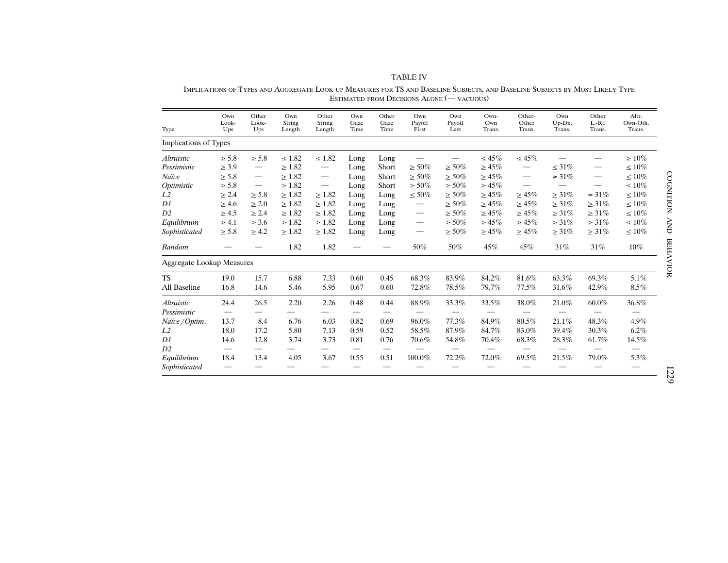## TABLE IV

IMPLICATIONS OF TYPES AND AGGREGATE LOOK-UP MEASURES FOR TS AND BASELINE SUBJECTS, AND BASELINE SUBJECTS BY MOST LIKELY TYPE ESTIMATED FROM DECISIONS ALONE (— VACUOUS)

| Type                      | Own<br>Look-<br>Ups | Other<br>Look-<br>Ups           | Own<br>String<br>Length | Other<br>String<br>Length | Own<br>Gaze<br>Time | Other<br>Gaze<br>Time | Own<br>Payoff<br>First | Own<br>Payoff<br>Last | Own-<br>Own<br>Trans. | Other-<br>Other<br>Trans. | Own<br>Up-Dn.<br>Trans. | Other<br>L.-Rt.<br>Trans.     | Altr.<br>Own-Oth.<br>Trans. |
|---------------------------|---------------------|---------------------------------|-------------------------|---------------------------|---------------------|-----------------------|------------------------|-----------------------|-----------------------|---------------------------|-------------------------|-------------------------------|-----------------------------|
| Implications of Types     |                     |                                 |                         |                           |                     |                       |                        |                       |                       |                           |                         |                               |                             |
| Altruistic                | $\geq 5.8$          | $\geq 5.8$                      | $\leq 1.82$             | $\leq 1.82$               | Long                | Long                  |                        |                       | $\leq 45\%$           | $\leq 45\%$               |                         | $\qquad \qquad$               | $\geq 10\%$                 |
| Pessimistic               | $\geq 3.9$          | $\qquad \qquad$                 | $\geq 1.82$             |                           | Long                | Short                 | $\geq 50\%$            | $\geq 50\%$           | $\geq 45\%$           | -                         | $\leq 31\%$             | $\overbrace{\phantom{13333}}$ | $\leq 10\%$                 |
| Naïve                     | $\geq 5.8$          | $\hspace{0.1mm}-\hspace{0.1mm}$ | >1.82                   | $\qquad \qquad$           | Long                | Short                 | $> 50\%$               | $> 50\%$              | $> 45\%$              | $\qquad \qquad$           | $\approx$ 31%           |                               | $\leq 10\%$                 |
| Optimistic                | $\geq 5.8$          | $\overline{\phantom{0}}$        | $\geq 1.82$             | $\overline{\phantom{0}}$  | Long                | Short                 | $\geq 50\%$            | $\geq 50\%$           | $\geq 45\%$           | $\overline{\phantom{0}}$  |                         | $\overbrace{\phantom{13333}}$ | $\leq 10\%$                 |
| L2                        | > 2.4               | > 5.8                           | >1.82                   | >1.82                     | Long                | Long                  | $< 50\%$               | $> 50\%$              | $> 45\%$              | $> 45\%$                  | >31%                    | $\approx$ 31%                 | $< 10\%$                    |
| D1                        | $\geq 4.6$          | $\geq 2.0$                      | $\geq 1.82$             | $\geq 1.82$               | Long                | Long                  |                        | $\geq 50\%$           | $\geq 45\%$           | $\geq 45\%$               | $\geq 31\%$             | $\geq 31\%$                   | $\leq 10\%$                 |
| D2                        | > 4.5               | > 2.4                           | >1.82                   | $\geq 1.82$               | Long                | Long                  |                        | $> 50\%$              | $> 45\%$              | $> 45\%$                  | >31%                    | >31%                          | $< 10\%$                    |
| Equilibrium               | $\geq 4.1$          | $\geq 3.6$                      | $\geq 1.82$             | $\geq 1.82$               | Long                | Long                  |                        | $\geq 50\%$           | $\geq 45\%$           | $\geq 45\%$               | $\geq 31\%$             | $\geq 31\%$                   | $\leq 10\%$                 |
| Sophisticated             | $\geq 5.8$          | $\geq 4.2$                      | $\geq 1.82$             | $\geq 1.82$               | Long                | Long                  |                        | $\geq 50\%$           | $\geq 45\%$           | $\geq 45\%$               | $\geq 31\%$             | $\geq 31\%$                   | $\leq 10\%$                 |
| Random                    |                     |                                 | 1.82                    | 1.82                      |                     |                       | 50%                    | 50%                   | 45%                   | 45%                       | 31%                     | 31%                           | 10%                         |
| Aggregate Lookup Measures |                     |                                 |                         |                           |                     |                       |                        |                       |                       |                           |                         |                               |                             |
| <b>TS</b>                 | 19.0                | 15.7                            | 6.88                    | 7.33                      | 0.60                | 0.45                  | 68.3%                  | 83.9%                 | 84.2%                 | 81.6%                     | 63.3%                   | 69.3%                         | 5.1%                        |
| All Baseline              | 16.8                | 14.6                            | 5.46                    | 5.95                      | 0.67                | 0.60                  | 72.8%                  | 78.5%                 | 79.7%                 | 77.5%                     | 31.6%                   | 42.9%                         | 8.5%                        |
| Altruistic                | 24.4                | 26.5                            | 2.20                    | 2.26                      | 0.48                | 0.44                  | 88.9%                  | 33.3%                 | 33.5%                 | 38.0%                     | 21.0%                   | 60.0%                         | 36.8%                       |
| Pessimistic               |                     |                                 |                         |                           |                     |                       |                        |                       |                       |                           |                         |                               |                             |
| Naïve / Optim.            | 13.7                | 8.4                             | 6.76                    | 6.03                      | 0.82                | 0.69                  | 96.0%                  | 77.3%                 | 84.9%                 | 80.5%                     | 21.1%                   | 48.3%                         | 4.9%                        |
| L2                        | 18.0                | 17.2                            | 5.80                    | 7.13                      | 0.59                | 0.52                  | 58.5%                  | 87.9%                 | 84.7%                 | 83.0%                     | 39.4%                   | 30.3%                         | $6.2\%$                     |
| D1                        | 14.6                | 12.8                            | 3.74                    | 3.73                      | 0.81                | 0.76                  | 70.6%                  | 54.8%                 | 70.4%                 | 68.3%                     | 28.3%                   | 61.7%                         | 14.5%                       |
| D2                        |                     |                                 |                         |                           |                     |                       |                        |                       |                       |                           |                         |                               |                             |
| Equilibrium               | 18.4                | 13.4                            | 4.05                    | 3.67                      | 0.55                | 0.51                  | 100.0%                 | 72.2%                 | 72.0%                 | 69.5%                     | 21.5%                   | 79.0%                         | 5.3%                        |
| Sophisticated             |                     |                                 |                         |                           |                     |                       |                        |                       |                       |                           |                         |                               |                             |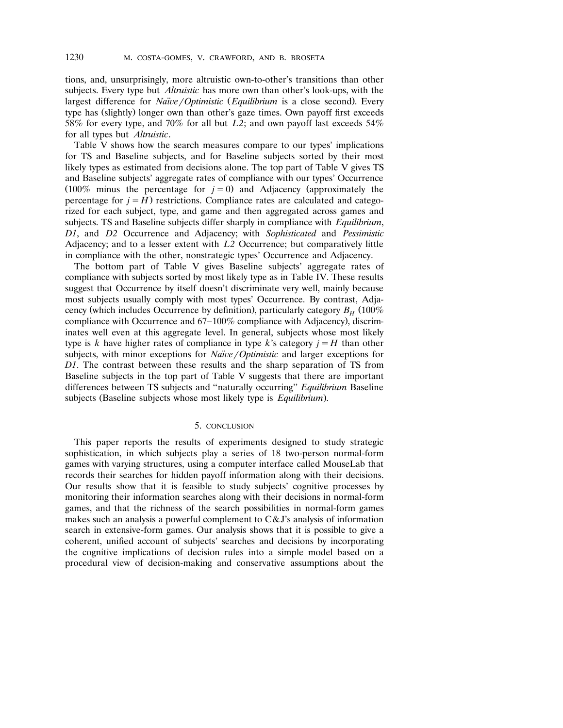tions, and, unsurprisingly, more altruistic own-to-other's transitions than other subjects. Every type but *Altruistic* has more own than other's look-ups, with the largest difference for *Naïve* / Optimistic (Equilibrium is a close second). Every type has (slightly) longer own than other's gaze times. Own payoff first exceeds 58% for every type, and 70% for all but *L2*; and own payoff last exceeds 54% for all types but *Altruistic*.

Table V shows how the search measures compare to our types' implications for TS and Baseline subjects, and for Baseline subjects sorted by their most likely types as estimated from decisions alone. The top part of Table V gives TS and Baseline subjects' aggregate rates of compliance with our types' Occurrence (100% minus the percentage for  $j=0$ ) and Adjacency (approximately the percentage for  $j = H$ ) restrictions. Compliance rates are calculated and categorized for each subject, type, and game and then aggregated across games and subjects. TS and Baseline subjects differ sharply in compliance with *Equilibrium*, *D1*, and *D2* Occurrence and Adjacency; with *Sophisticated* and *Pessimistic* Adjacency; and to a lesser extent with *L2* Occurrence; but comparatively little in compliance with the other, nonstrategic types' Occurrence and Adjacency.

The bottom part of Table V gives Baseline subjects' aggregate rates of compliance with subjects sorted by most likely type as in Table IV. These results suggest that Occurrence by itself doesn't discriminate very well, mainly because most subjects usually comply with most types' Occurrence. By contrast, Adjacency (which includes Occurrence by definition), particularly category  $B_H$  (100%) compliance with Occurrence and  $67-100\%$  compliance with Adjacency), discriminates well even at this aggregate level. In general, subjects whose most likely type is *k* have higher rates of compliance in type *k*'s category  $j = H$  than other subjects, with minor exceptions for *Naïve* / Optimistic and larger exceptions for *D1*. The contrast between these results and the sharp separation of TS from Baseline subjects in the top part of Table V suggests that there are important differences between TS subjects and ''naturally occurring'' *Equilibrium* Baseline subjects (Baseline subjects whose most likely type is *Equilibrium*).

### 5. CONCLUSION

This paper reports the results of experiments designed to study strategic sophistication, in which subjects play a series of 18 two-person normal-form games with varying structures, using a computer interface called MouseLab that records their searches for hidden payoff information along with their decisions. Our results show that it is feasible to study subjects' cognitive processes by monitoring their information searches along with their decisions in normal-form games, and that the richness of the search possibilities in normal-form games makes such an analysis a powerful complement to C&J's analysis of information search in extensive-form games. Our analysis shows that it is possible to give a coherent, unified account of subjects' searches and decisions by incorporating the cognitive implications of decision rules into a simple model based on a procedural view of decision-making and conservative assumptions about the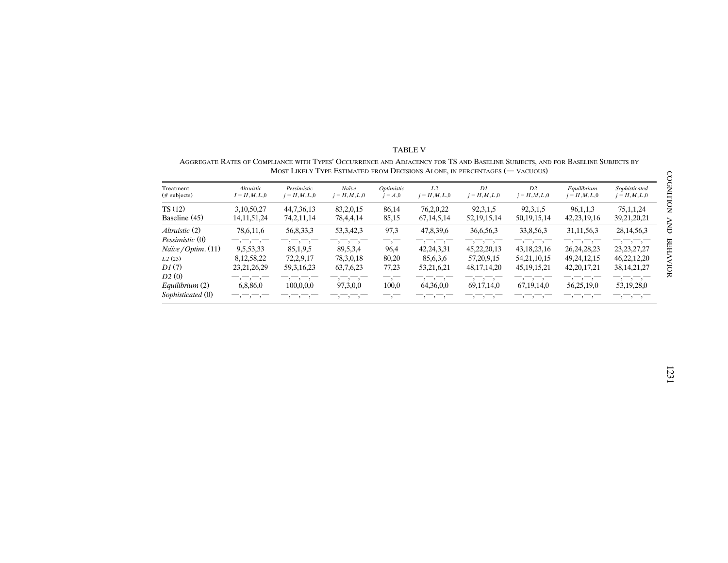|--|

AGGREGATE RATES OF COMPLIANCE WITH TYPES' OCCURRENCE AND ADJACENCY FOR TS AND BASELINE SUBJECTS, AND FOR BASELINE SUBJECTS BY Most Likely Type Estimated from Decisions Alone, in percentages (— vacuous)

| Treatment                 | Altruistic       | Pessimistic                           | Naïve                | Optimistic        | L <sub>2</sub>           | DI                   | D2                 | Equilibrium          | Sophisticated                   |
|---------------------------|------------------|---------------------------------------|----------------------|-------------------|--------------------------|----------------------|--------------------|----------------------|---------------------------------|
| $(*$ subjects)            | $J = H, M, L, 0$ | $j = H, M, L, 0$                      | $j = H, M, L, 0$     | $i = A0$          | $i = H, M, L, 0$         | $i = H, M, L, 0$     | $j = H, M, L, 0$   | $i = H, M, L, 0$     | $j = H, M, L, 0$                |
| TS(12)                    | 3,10,50,27       | 44, 7, 36, 13                         | 83, 2, 0, 15         | 86,14             | 76, 2, 0, 22             | 92, 3, 1, 5          | 92, 3, 1, 5        | 96, 1, 1, 3          | 75, 1, 1, 24                    |
| Baseline (45)             | 14, 11, 51, 24   | 74, 2, 11, 14                         | 78, 4, 4, 14         | 85,15             | 67, 14, 5, 14            | 52, 19, 15, 14       | 50, 19, 15, 14     | 42, 23, 19, 16       | 39, 21, 20, 21                  |
| Altruistic (2)            | 78,6,11,6        | 56,8,33,3                             | 53, 3, 42, 3         | 97,3              | 47,8,39,6                | 36,6,56,3            | 33,8,56,3          | 31, 11, 56, 3        | 28, 14, 56, 3                   |
| Pessimistic (0)           | ., —             | г,                                    |                      |                   | $\cdot$                  |                      | $\cdot$<br>$\cdot$ |                      | $\cdot$ $\cdot$ $\cdot$ $\cdot$ |
| $Na\ddot{w}e/Optim.$ (11) | 9,5,53,33        | 85,1,9,5                              | 89, 5, 3, 4          | 96,4              | 42, 24, 3, 31            | 45, 22, 20, 13       | 43, 18, 23, 16     | 26, 24, 28, 23       | 23, 23, 27, 27                  |
| L2(23)                    | 8, 12, 58, 22    | 72, 2, 9, 17                          | 78, 3, 0, 18         | 80.20             | 85,6,3,6                 | 57, 20, 9, 15        | 54, 21, 10, 15     | 49, 24, 12, 15       | 46, 22, 12, 20                  |
| DI(7)                     | 23, 21, 26, 29   | 59, 3, 16, 23                         | 63, 7, 6, 23         | 77,23             | 53, 21, 6, 21            | 48, 17, 14, 20       | 45, 19, 15, 21     | 42, 20, 17, 21       | 38, 14, 21, 27                  |
| D2(0)                     | ., —, — ,        | $\overline{\phantom{a}}$ ,<br>$\cdot$ | $\sim$               | $\cdot$ , $\cdot$ | $\sim$ $\sim$<br>$\cdot$ | $\ddot{\phantom{1}}$ | $\cdots$           | $\sim$ $\sim$ $\sim$ | $, \, \, , \, \, , \,$          |
| Equilibrium (2)           | 6,8,86,0         | 100,0,0,0                             | 97, 3, 0, 0          | 100,0             | 64, 36, 0, 0             | 69, 17, 14, 0        | 67, 19, 14, 0      | 56,25,19,0           | 53, 19, 28, 0                   |
| Sophisticated (0)         | $-,-,-$          | $\cdot$                               | $\cdot$ ,<br>$\cdot$ |                   | $\cdot$<br>$\cdot$       |                      | $\cdot$            | $\cdot$ ,            | $, \, \cdot \,$<br>$\cdot$      |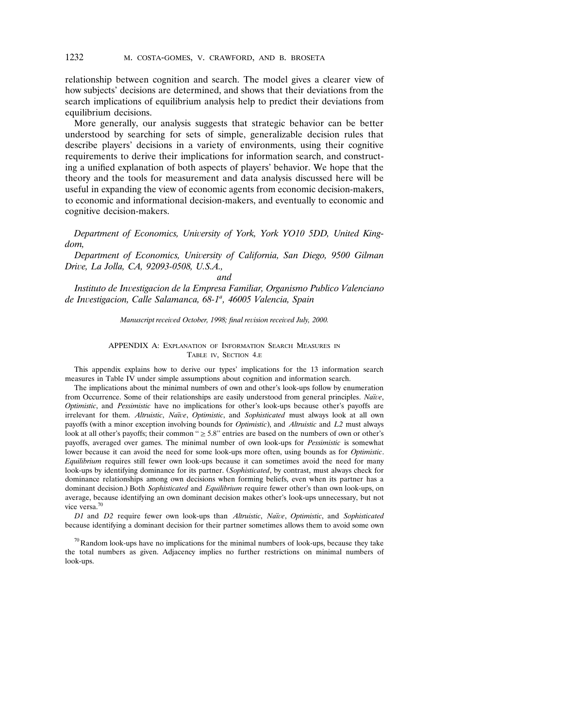relationship between cognition and search. The model gives a clearer view of how subjects' decisions are determined, and shows that their deviations from the search implications of equilibrium analysis help to predict their deviations from equilibrium decisions.

More generally, our analysis suggests that strategic behavior can be better understood by searching for sets of simple, generalizable decision rules that describe players' decisions in a variety of environments, using their cognitive requirements to derive their implications for information search, and constructing a unified explanation of both aspects of players' behavior. We hope that the theory and the tools for measurement and data analysis discussed here will be useful in expanding the view of economic agents from economic decision-makers, to economic and informational decision-makers, and eventually to economic and cognitive decision-makers.

*Department of Economics, Uniersity of York, York YO10 5DD, United Kingdom,*

*Department of Economics, Uniersity of California, San Diego, 9500 Gilman Drie, La Jolla, CA, 92093-0508, U.S.A.,*

*and*

*Instituto de Inestigacion de la Empresa Familiar, Organismo Publico Valenciano de Inestigacion, Calle Salamanca, 68-1<sup>a</sup> , 46005 Valencia, Spain*

*Manuscript receied October, 1998; final reision receied July, 2000.*

APPENDIX A: EXPLANATION OF INFORMATION SEARCH MEASURES IN TABLE IV, SECTION 4.E

This appendix explains how to derive our types' implications for the 13 information search measures in Table IV under simple assumptions about cognition and information search.

The implications about the minimal numbers of own and other's look-ups follow by enumeration from Occurrence. Some of their relationships are easily understood from general principles. *Na*¨*ıe*, *Optimistic*, and *Pessimistic* have no implications for other's look-ups because other's payoffs are irrelevant for them. *Altruistic*, *Na*¨*ıe*, *Optimistic*, and *Sophisticated* must always look at all own payoffs (with a minor exception involving bounds for *Optimistic*), and *Altruistic* and *L2* must always look at all other's payoffs; their common " $\geq$  5.8" entries are based on the numbers of own or other's payoffs, averaged over games. The minimal number of own look-ups for *Pessimistic* is somewhat lower because it can avoid the need for some look-ups more often, using bounds as for *Optimistic*. *Equilibrium* requires still fewer own look-ups because it can sometimes avoid the need for many look-ups by identifying dominance for its partner. (Sophisticated, by contrast, must always check for dominance relationships among own decisions when forming beliefs, even when its partner has a dominant decision.) Both *Sophisticated* and *Equilibrium* require fewer other's than own look-ups, on average, because identifying an own dominant decision makes other's look-ups unnecessary, but not vice versa.<sup>70</sup>

*D1* and *D2* require fewer own look-ups than *Altruistic*, *Na*¨*ıe*, *Optimistic*, and *Sophisticated* because identifying a dominant decision for their partner sometimes allows them to avoid some own

 $\frac{70}{2}$ Random look-ups have no implications for the minimal numbers of look-ups, because they take the total numbers as given. Adjacency implies no further restrictions on minimal numbers of look-ups.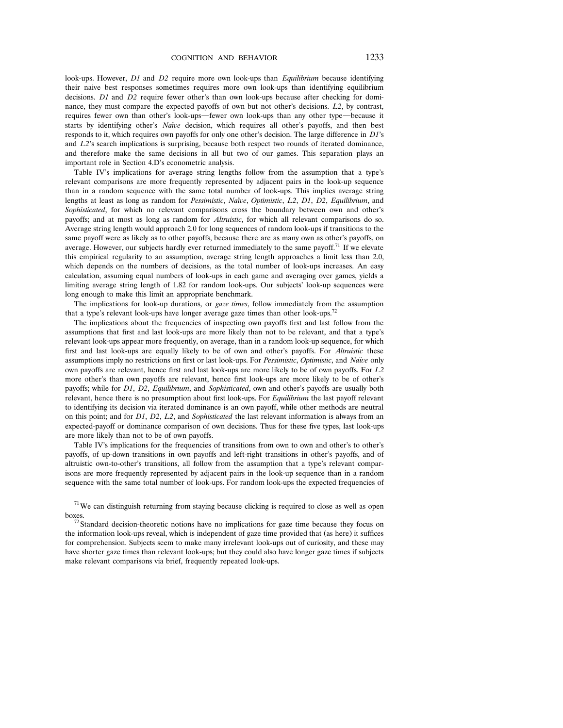look-ups. However, *D1* and *D2* require more own look-ups than *Equilibrium* because identifying their naive best responses sometimes requires more own look-ups than identifying equilibrium decisions. *D1* and *D2* require fewer other's than own look-ups because after checking for dominance, they must compare the expected payoffs of own but not other's decisions. *L2*, by contrast, requires fewer own than other's look-ups-fewer own look-ups than any other type-because it starts by identifying other's *Naïve* decision, which requires all other's payoffs, and then best responds to it, which requires own payoffs for only one other's decision. The large difference in *D1*'s and *L2*'s search implications is surprising, because both respect two rounds of iterated dominance, and therefore make the same decisions in all but two of our games. This separation plays an important role in Section 4.D's econometric analysis.

Table IV's implications for average string lengths follow from the assumption that a type's relevant comparisons are more frequently represented by adjacent pairs in the look-up sequence than in a random sequence with the same total number of look-ups. This implies average string lengths at least as long as random for *Pessimistic*, *Na*¨*ıe*, *Optimistic*, *L2*, *D1*, *D2*, *Equilibrium*, and *Sophisticated*, for which no relevant comparisons cross the boundary between own and other's payoffs; and at most as long as random for *Altruistic*, for which all relevant comparisons do so. Average string length would approach 2.0 for long sequences of random look-ups if transitions to the same payoff were as likely as to other payoffs, because there are as many own as other's payoffs, on average. However, our subjects hardly ever returned immediately to the same payoff.<sup>71</sup> If we elevate this empirical regularity to an assumption, average string length approaches a limit less than 2.0, which depends on the numbers of decisions, as the total number of look-ups increases. An easy calculation, assuming equal numbers of look-ups in each game and averaging over games, yields a limiting average string length of 1.82 for random look-ups. Our subjects' look-up sequences were long enough to make this limit an appropriate benchmark.

The implications for look-up durations, or *gaze times*, follow immediately from the assumption that a type's relevant look-ups have longer average gaze times than other look-ups.<sup>72</sup>

The implications about the frequencies of inspecting own payoffs first and last follow from the assumptions that first and last look-ups are more likely than not to be relevant, and that a type's relevant look-ups appear more frequently, on average, than in a random look-up sequence, for which first and last look-ups are equally likely to be of own and other's payoffs. For *Altruistic* these assumptions imply no restrictions on first or last look-ups. For *Pessimistic*, *Optimistic*, and *Na*¨*ıe* only own payoffs are relevant, hence first and last look-ups are more likely to be of own payoffs. For *L2* more other's than own payoffs are relevant, hence first look-ups are more likely to be of other's payoffs; while for *D1*, *D2*, *Equilibrium*, and *Sophisticated*, own and other's payoffs are usually both relevant, hence there is no presumption about first look-ups. For *Equilibrium* the last payoff relevant to identifying its decision via iterated dominance is an own payoff, while other methods are neutral on this point; and for *D1*, *D2*, *L2*, and *Sophisticated* the last relevant information is always from an expected-payoff or dominance comparison of own decisions. Thus for these five types, last look-ups are more likely than not to be of own payoffs.

Table IV's implications for the frequencies of transitions from own to own and other's to other's payoffs, of up-down transitions in own payoffs and left-right transitions in other's payoffs, and of altruistic own-to-other's transitions, all follow from the assumption that a type's relevant comparisons are more frequently represented by adjacent pairs in the look-up sequence than in a random sequence with the same total number of look-ups. For random look-ups the expected frequencies of

 $71$  We can distinguish returning from staying because clicking is required to close as well as open boxes.<br><sup>72</sup>Standard decision-theoretic notions have no implications for gaze time because they focus on

the information look-ups reveal, which is independent of gaze time provided that (as here) it suffices for comprehension. Subjects seem to make many irrelevant look-ups out of curiosity, and these may have shorter gaze times than relevant look-ups; but they could also have longer gaze times if subjects make relevant comparisons via brief, frequently repeated look-ups.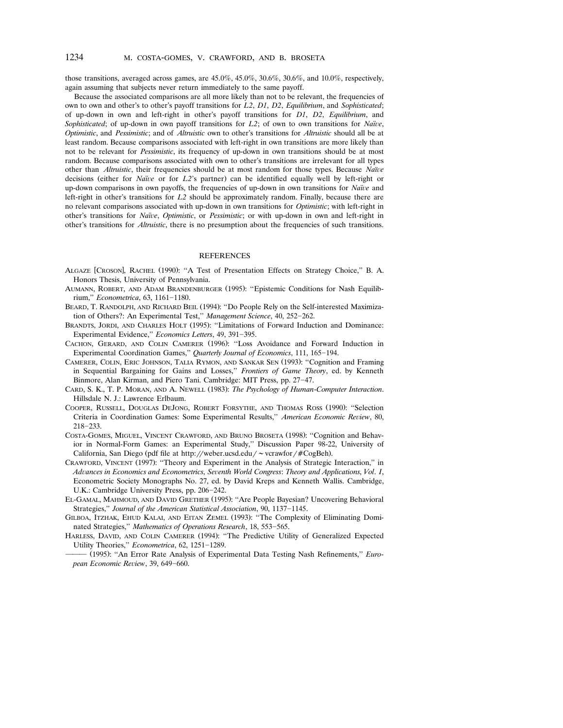those transitions, averaged across games, are 45.0%, 45.0%, 30.6%, 30.6%, and 10.0%, respectively, again assuming that subjects never return immediately to the same payoff.

Because the associated comparisons are all more likely than not to be relevant, the frequencies of own to own and other's to other's payoff transitions for *L2*, *D1*, *D2*, *Equilibrium*, and *Sophisticated*; of up-down in own and left-right in other's payoff transitions for *D1*, *D2*, *Equilibrium*, and *Sophisticated*; of up-down in own payoff transitions for *L2*; of own to own transitions for *Na*¨*ıe*, *Optimistic*, and *Pessimistic*; and of *Altruistic* own to other's transitions for *Altruistic* should all be at least random. Because comparisons associated with left-right in own transitions are more likely than not to be relevant for *Pessimistic*, its frequency of up-down in own transitions should be at most random. Because comparisons associated with own to other's transitions are irrelevant for all types other than *Altruistic*, their frequencies should be at most random for those types. Because *Naïve* decisions (either for *Naïve* or for *L2*'s partner) can be identified equally well by left-right or up-down comparisons in own payoffs, the frequencies of up-down in own transitions for *Naïve* and left-right in other's transitions for *L2* should be approximately random. Finally, because there are no relevant comparisons associated with up-down in own transitions for *Optimistic*; with left-right in other's transitions for *Na*¨*ıe*, *Optimistic*, or *Pessimistic*; or with up-down in own and left-right in other's transitions for *Altruistic*, there is no presumption about the frequencies of such transitions.

#### REFERENCES

- ALGAZE [CROSON], RACHEL (1990): "A Test of Presentation Effects on Strategy Choice," B. A. Honors Thesis, University of Pennsylvania.
- AUMANN, ROBERT, AND ADAM BRANDENBURGER (1995): "Epistemic Conditions for Nash Equilibrium," *Econometrica*, 63, 1161-1180.
- BEARD, T. RANDOLPH, AND RICHARD BEIL (1994): "Do People Rely on the Self-interested Maximization of Others?: An Experimental Test," *Management Science*, 40, 252-262.
- BRANDTS, JORDI, AND CHARLES HOLT (1995): "Limitations of Forward Induction and Dominance: Experimental Evidence," *Economics Letters*, 49, 391-395.
- CACHON, GERARD, AND COLIN CAMERER (1996): "Loss Avoidance and Forward Induction in Experimental Coordination Games," *Quarterly Journal of Economics*, 111, 165-194.
- CAMERER, COLIN, ERIC JOHNSON, TALIA RYMON, AND SANKAR SEN (1993): "Cognition and Framing in Sequential Bargaining for Gains and Losses,'' *Frontiers of Game Theory*, ed. by Kenneth Binmore, Alan Kirman, and Piero Tani. Cambridge: MIT Press, pp. 27-47.
- CARD, S. K., T. P. MORAN, AND A. NEWELL (1983): *The Psychology of Human-Computer Interaction*. Hillsdale N. J.: Lawrence Erlbaum.
- COOPER, RUSSELL, DOUGLAS DEJONG, ROBERT FORSYTHE, AND THOMAS ROSS (1990): "Selection Criteria in Coordination Games: Some Experimental Results,'' *American Economic Reiew*, 80, 218-233.
- COSTA-GOMES, MIGUEL, VINCENT CRAWFORD, AND BRUNO BROSETA (1998): "Cognition and Behavior in Normal-Form Games: an Experimental Study,'' Discussion Paper 98-22, University of California, San Diego (pdf file at http://weber.ucsd.edu/~vcrawfor/#CogBeh).
- CRAWFORD, VINCENT (1997): "Theory and Experiment in the Analysis of Strategic Interaction," in *Adances in Economics and Econometrics*, *Seenth World Congress*: *Theory and Applications*, *Vol*. *I*, Econometric Society Monographs No. 27, ed. by David Kreps and Kenneth Wallis. Cambridge, U.K.: Cambridge University Press, pp. 206-242.
- EL-GAMAL, MAHMOUD, AND DAVID GRETHER (1995): "Are People Bayesian? Uncovering Behavioral Strategies," *Journal of the American Statistical Association*, 90, 1137-1145.
- GILBOA, ITZHAK, EHUD KALAI, AND EITAN ZEMEL (1993): "The Complexity of Eliminating Dominated Strategies," Mathematics of Operations Research, 18, 553-565.
- HARLESS, DAVID, AND COLIN CAMERER (1994): "The Predictive Utility of Generalized Expected Utility Theories," *Econometrica*, 62, 1251-1289.
- --- Ž . 1995 : ''An Error Rate Analysis of Experimental Data Testing Nash Refinements,'' *European Economic Review*, 39, 649-660.